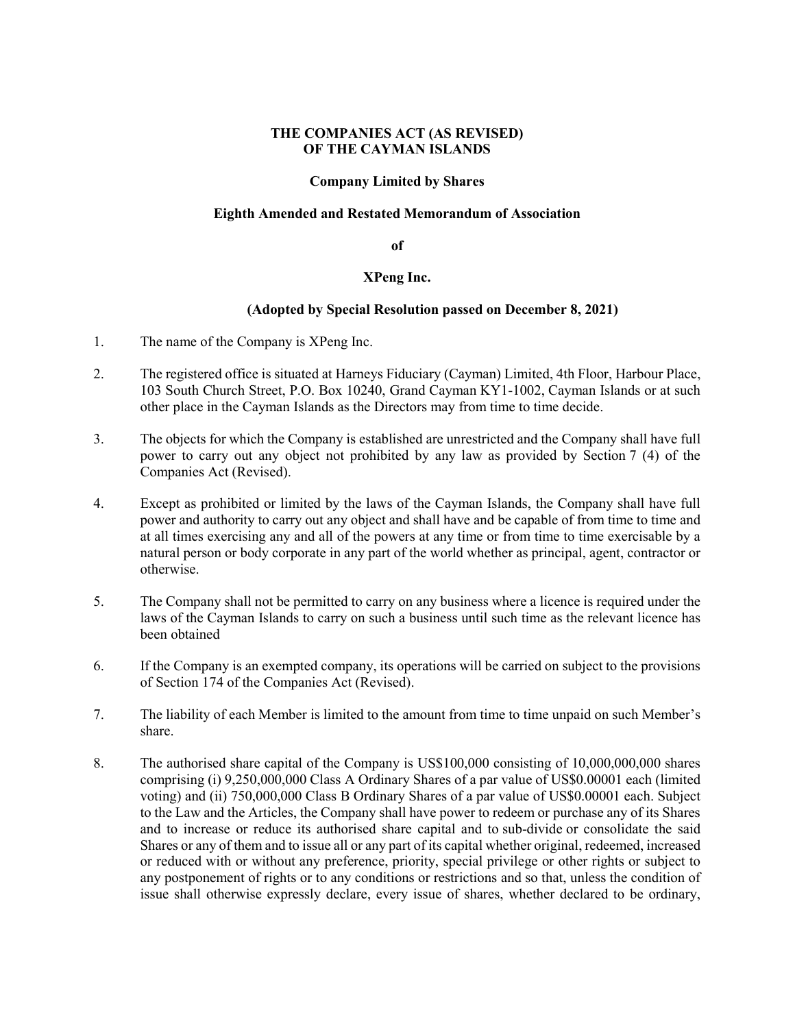#### THE COMPANIES ACT (AS REVISED) OF THE CAYMAN ISLANDS

#### Company Limited by Shares

#### Eighth Amended and Restated Memorandum of Association

of

# XPeng Inc.

#### (Adopted by Special Resolution passed on **December 8, 2021**)

- 1. The name of the Company is XPeng Inc.
- 2. The registered office is situated at Harneys Fiduciary (Cayman) Limited, 4th Floor, Harbour Place, 103 South Church Street, P.O. Box 10240, Grand Cayman KY1-1002, Cayman Islands or at such other place in the Cayman Islands as the Directors may from time to time decide.
- 3. The objects for which the Company is established are unrestricted and the Company shall have full power to carry out any object not prohibited by any law as provided by Section 7 (4) of the Companies Act (Revised).
- 4. Except as prohibited or limited by the laws of the Cayman Islands, the Company shall have full power and authority to carry out any object and shall have and be capable of from time to time and at all times exercising any and all of the powers at any time or from time to time exercisable by a natural person or body corporate in any part of the world whether as principal, agent, contractor or otherwise.
- 5. The Company shall not be permitted to carry on any business where a licence is required under the laws of the Cayman Islands to carry on such a business until such time as the relevant licence has been obtained
- 6. If the Company is an exempted company, its operations will be carried on subject to the provisions of Section 174 of the Companies Act (Revised).
- 7. The liability of each Member is limited to the amount from time to time unpaid on such Member's share.
- 8. The authorised share capital of the Company is US\$100,000 consisting of 10,000,000,000 shares comprising (i) 9,250,000,000 Class A Ordinary Shares of a par value of US\$0.00001 each (limited voting) and (ii) 750,000,000 Class B Ordinary Shares of a par value of US\$0.00001 each. Subject to the Law and the Articles, the Company shall have power to redeem or purchase any of its Shares and to increase or reduce its authorised share capital and to sub-divide or consolidate the said Shares or any of them and to issue all or any part of its capital whether original, redeemed, increased or reduced with or without any preference, priority, special privilege or other rights or subject to any postponement of rights or to any conditions or restrictions and so that, unless the condition of issue shall otherwise expressly declare, every issue of shares, whether declared to be ordinary,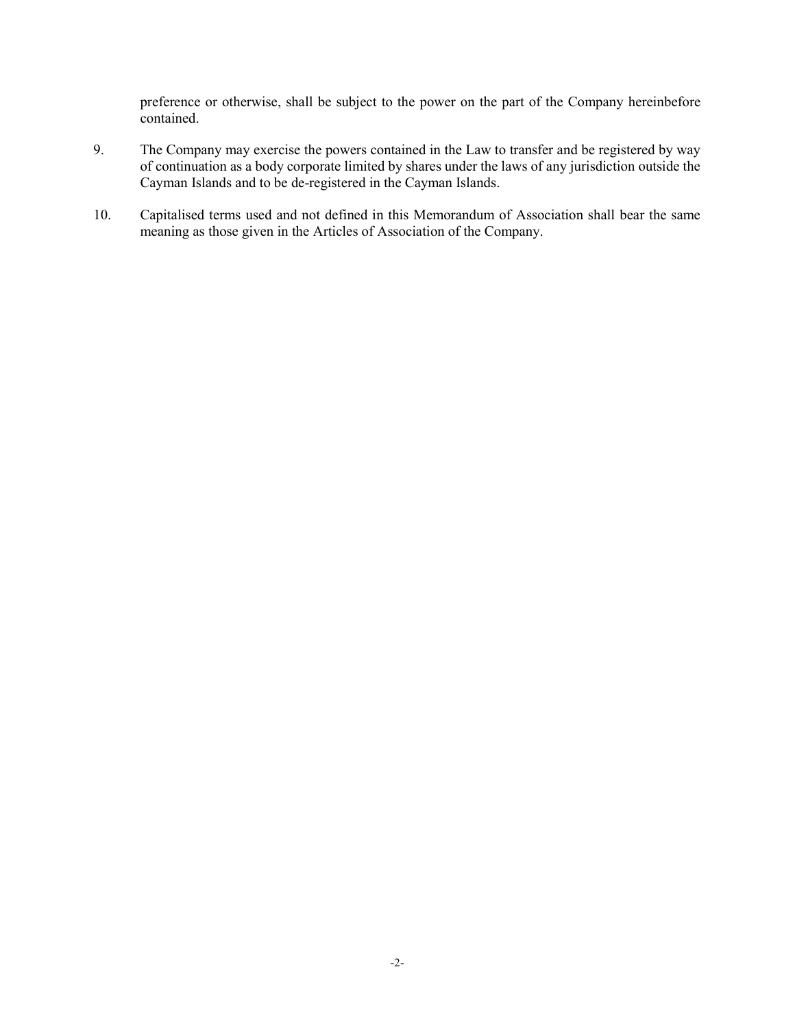preference or otherwise, shall be subject to the power on the part of the Company hereinbefore contained.

- 9. The Company may exercise the powers contained in the Law to transfer and be registered by way of continuation as a body corporate limited by shares under the laws of any jurisdiction outside the Cayman Islands and to be de-registered in the Cayman Islands.
- 10. Capitalised terms used and not defined in this Memorandum of Association shall bear the same meaning as those given in the Articles of Association of the Company.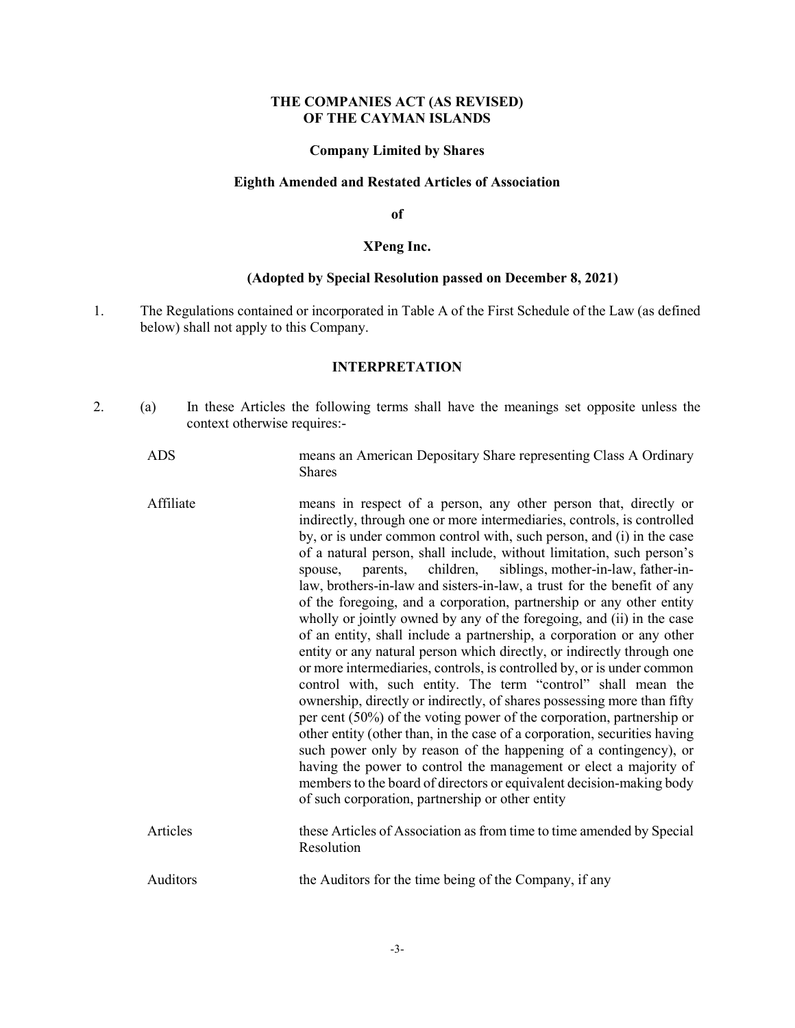#### THE COMPANIES ACT (AS REVISED) OF THE CAYMAN ISLANDS

#### Company Limited by Shares

#### Eighth Amended and Restated Articles of Association

of

#### XPeng Inc.

#### (Adopted by Special Resolution passed on **December 8, 2021**)

1. The Regulations contained or incorporated in Table A of the First Schedule of the Law (as defined below) shall not apply to this Company.

#### INTERPRETATION

- 2. (a) In these Articles the following terms shall have the meanings set opposite unless the context otherwise requires:-
	- ADS means an American Depositary Share representing Class A Ordinary Shares
	- Affiliate means in respect of a person, any other person that, directly or indirectly, through one or more intermediaries, controls, is controlled by, or is under common control with, such person, and (i) in the case of a natural person, shall include, without limitation, such person's spouse, parents, children, siblings, mother-in-law, father-inlaw, brothers-in-law and sisters-in-law, a trust for the benefit of any of the foregoing, and a corporation, partnership or any other entity wholly or jointly owned by any of the foregoing, and (ii) in the case of an entity, shall include a partnership, a corporation or any other entity or any natural person which directly, or indirectly through one or more intermediaries, controls, is controlled by, or is under common control with, such entity. The term "control" shall mean the ownership, directly or indirectly, of shares possessing more than fifty per cent (50%) of the voting power of the corporation, partnership or other entity (other than, in the case of a corporation, securities having such power only by reason of the happening of a contingency), or having the power to control the management or elect a majority of members to the board of directors or equivalent decision-making body of such corporation, partnership or other entity Articles these Articles of Association as from time to time amended by Special Resolution
		- Auditors the Auditors for the time being of the Company, if any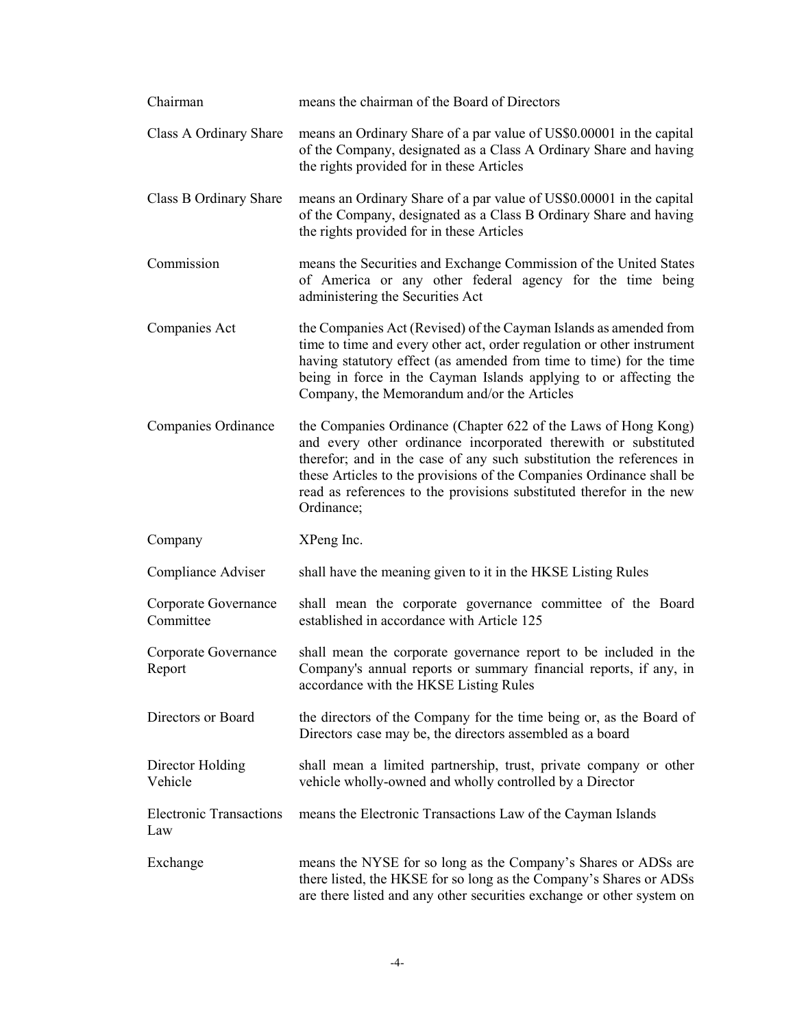| Chairman                              | means the chairman of the Board of Directors                                                                                                                                                                                                                                                                                                                            |
|---------------------------------------|-------------------------------------------------------------------------------------------------------------------------------------------------------------------------------------------------------------------------------------------------------------------------------------------------------------------------------------------------------------------------|
| Class A Ordinary Share                | means an Ordinary Share of a par value of US\$0.00001 in the capital<br>of the Company, designated as a Class A Ordinary Share and having<br>the rights provided for in these Articles                                                                                                                                                                                  |
| Class B Ordinary Share                | means an Ordinary Share of a par value of US\$0.00001 in the capital<br>of the Company, designated as a Class B Ordinary Share and having<br>the rights provided for in these Articles                                                                                                                                                                                  |
| Commission                            | means the Securities and Exchange Commission of the United States<br>of America or any other federal agency for the time being<br>administering the Securities Act                                                                                                                                                                                                      |
| Companies Act                         | the Companies Act (Revised) of the Cayman Islands as amended from<br>time to time and every other act, order regulation or other instrument<br>having statutory effect (as amended from time to time) for the time<br>being in force in the Cayman Islands applying to or affecting the<br>Company, the Memorandum and/or the Articles                                  |
| Companies Ordinance                   | the Companies Ordinance (Chapter 622 of the Laws of Hong Kong)<br>and every other ordinance incorporated therewith or substituted<br>therefor; and in the case of any such substitution the references in<br>these Articles to the provisions of the Companies Ordinance shall be<br>read as references to the provisions substituted therefor in the new<br>Ordinance; |
| Company                               | XPeng Inc.                                                                                                                                                                                                                                                                                                                                                              |
| Compliance Adviser                    | shall have the meaning given to it in the HKSE Listing Rules                                                                                                                                                                                                                                                                                                            |
| Corporate Governance<br>Committee     | shall mean the corporate governance committee of the Board<br>established in accordance with Article 125                                                                                                                                                                                                                                                                |
| Corporate Governance<br>Report        | shall mean the corporate governance report to be included in the<br>Company's annual reports or summary financial reports, if any, in<br>accordance with the HKSE Listing Rules                                                                                                                                                                                         |
| Directors or Board                    | the directors of the Company for the time being or, as the Board of<br>Directors case may be, the directors assembled as a board                                                                                                                                                                                                                                        |
| Director Holding<br>Vehicle           | shall mean a limited partnership, trust, private company or other<br>vehicle wholly-owned and wholly controlled by a Director                                                                                                                                                                                                                                           |
| <b>Electronic Transactions</b><br>Law | means the Electronic Transactions Law of the Cayman Islands                                                                                                                                                                                                                                                                                                             |
| Exchange                              | means the NYSE for so long as the Company's Shares or ADSs are<br>there listed, the HKSE for so long as the Company's Shares or ADSs<br>are there listed and any other securities exchange or other system on                                                                                                                                                           |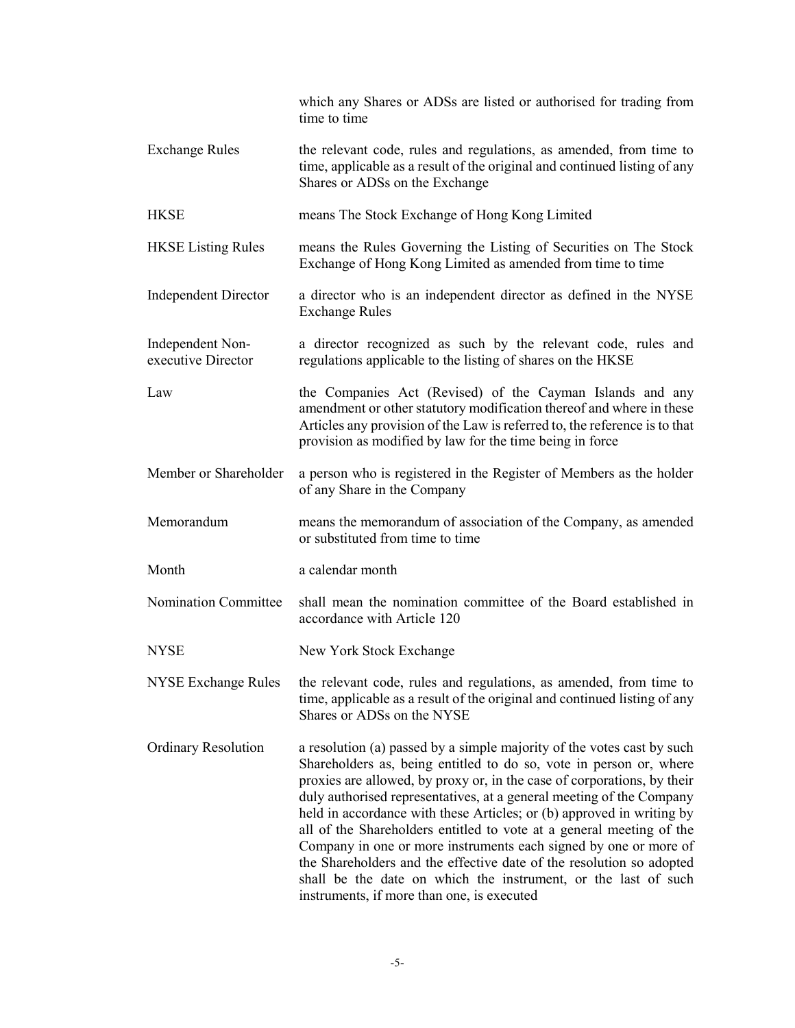|                                        | which any Shares or ADSs are listed or authorised for trading from<br>time to time                                                                                                                                                                                                                                                                                                                                                                                                                                                                                                                                                                                                                           |
|----------------------------------------|--------------------------------------------------------------------------------------------------------------------------------------------------------------------------------------------------------------------------------------------------------------------------------------------------------------------------------------------------------------------------------------------------------------------------------------------------------------------------------------------------------------------------------------------------------------------------------------------------------------------------------------------------------------------------------------------------------------|
| <b>Exchange Rules</b>                  | the relevant code, rules and regulations, as amended, from time to<br>time, applicable as a result of the original and continued listing of any<br>Shares or ADSs on the Exchange                                                                                                                                                                                                                                                                                                                                                                                                                                                                                                                            |
| <b>HKSE</b>                            | means The Stock Exchange of Hong Kong Limited                                                                                                                                                                                                                                                                                                                                                                                                                                                                                                                                                                                                                                                                |
| <b>HKSE Listing Rules</b>              | means the Rules Governing the Listing of Securities on The Stock<br>Exchange of Hong Kong Limited as amended from time to time                                                                                                                                                                                                                                                                                                                                                                                                                                                                                                                                                                               |
| <b>Independent Director</b>            | a director who is an independent director as defined in the NYSE<br><b>Exchange Rules</b>                                                                                                                                                                                                                                                                                                                                                                                                                                                                                                                                                                                                                    |
| Independent Non-<br>executive Director | a director recognized as such by the relevant code, rules and<br>regulations applicable to the listing of shares on the HKSE                                                                                                                                                                                                                                                                                                                                                                                                                                                                                                                                                                                 |
| Law                                    | the Companies Act (Revised) of the Cayman Islands and any<br>amendment or other statutory modification thereof and where in these<br>Articles any provision of the Law is referred to, the reference is to that<br>provision as modified by law for the time being in force                                                                                                                                                                                                                                                                                                                                                                                                                                  |
| Member or Shareholder                  | a person who is registered in the Register of Members as the holder<br>of any Share in the Company                                                                                                                                                                                                                                                                                                                                                                                                                                                                                                                                                                                                           |
| Memorandum                             | means the memorandum of association of the Company, as amended<br>or substituted from time to time                                                                                                                                                                                                                                                                                                                                                                                                                                                                                                                                                                                                           |
| Month                                  | a calendar month                                                                                                                                                                                                                                                                                                                                                                                                                                                                                                                                                                                                                                                                                             |
| <b>Nomination Committee</b>            | shall mean the nomination committee of the Board established in<br>accordance with Article 120                                                                                                                                                                                                                                                                                                                                                                                                                                                                                                                                                                                                               |
| <b>NYSE</b>                            | New York Stock Exchange                                                                                                                                                                                                                                                                                                                                                                                                                                                                                                                                                                                                                                                                                      |
| <b>NYSE Exchange Rules</b>             | the relevant code, rules and regulations, as amended, from time to<br>time, applicable as a result of the original and continued listing of any<br>Shares or ADSs on the NYSE                                                                                                                                                                                                                                                                                                                                                                                                                                                                                                                                |
| <b>Ordinary Resolution</b>             | a resolution (a) passed by a simple majority of the votes cast by such<br>Shareholders as, being entitled to do so, vote in person or, where<br>proxies are allowed, by proxy or, in the case of corporations, by their<br>duly authorised representatives, at a general meeting of the Company<br>held in accordance with these Articles; or (b) approved in writing by<br>all of the Shareholders entitled to vote at a general meeting of the<br>Company in one or more instruments each signed by one or more of<br>the Shareholders and the effective date of the resolution so adopted<br>shall be the date on which the instrument, or the last of such<br>instruments, if more than one, is executed |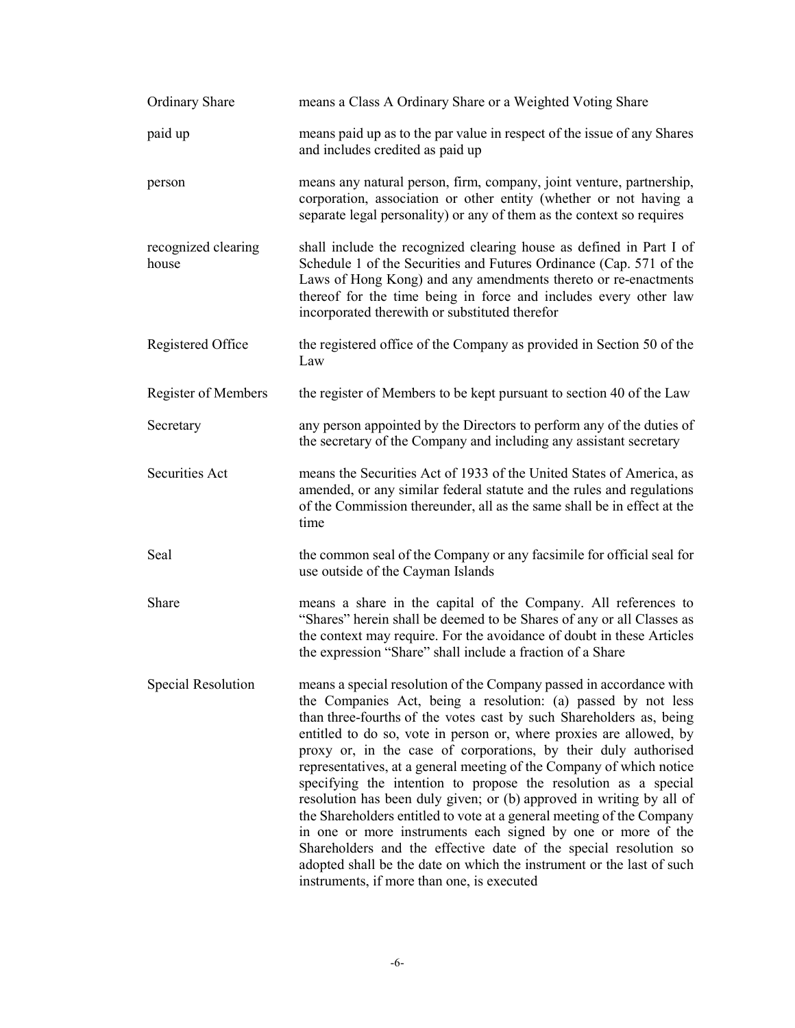| Ordinary Share               | means a Class A Ordinary Share or a Weighted Voting Share                                                                                                                                                                                                                                                                                                                                                                                                                                                                                                                                                                                                                                                                                                                                                                                                                                                    |
|------------------------------|--------------------------------------------------------------------------------------------------------------------------------------------------------------------------------------------------------------------------------------------------------------------------------------------------------------------------------------------------------------------------------------------------------------------------------------------------------------------------------------------------------------------------------------------------------------------------------------------------------------------------------------------------------------------------------------------------------------------------------------------------------------------------------------------------------------------------------------------------------------------------------------------------------------|
| paid up                      | means paid up as to the par value in respect of the issue of any Shares<br>and includes credited as paid up                                                                                                                                                                                                                                                                                                                                                                                                                                                                                                                                                                                                                                                                                                                                                                                                  |
| person                       | means any natural person, firm, company, joint venture, partnership,<br>corporation, association or other entity (whether or not having a<br>separate legal personality) or any of them as the context so requires                                                                                                                                                                                                                                                                                                                                                                                                                                                                                                                                                                                                                                                                                           |
| recognized clearing<br>house | shall include the recognized clearing house as defined in Part I of<br>Schedule 1 of the Securities and Futures Ordinance (Cap. 571 of the<br>Laws of Hong Kong) and any amendments thereto or re-enactments<br>thereof for the time being in force and includes every other law<br>incorporated therewith or substituted therefor                                                                                                                                                                                                                                                                                                                                                                                                                                                                                                                                                                           |
| Registered Office            | the registered office of the Company as provided in Section 50 of the<br>Law                                                                                                                                                                                                                                                                                                                                                                                                                                                                                                                                                                                                                                                                                                                                                                                                                                 |
| Register of Members          | the register of Members to be kept pursuant to section 40 of the Law                                                                                                                                                                                                                                                                                                                                                                                                                                                                                                                                                                                                                                                                                                                                                                                                                                         |
| Secretary                    | any person appointed by the Directors to perform any of the duties of<br>the secretary of the Company and including any assistant secretary                                                                                                                                                                                                                                                                                                                                                                                                                                                                                                                                                                                                                                                                                                                                                                  |
| Securities Act               | means the Securities Act of 1933 of the United States of America, as<br>amended, or any similar federal statute and the rules and regulations<br>of the Commission thereunder, all as the same shall be in effect at the<br>time                                                                                                                                                                                                                                                                                                                                                                                                                                                                                                                                                                                                                                                                             |
| Seal                         | the common seal of the Company or any facsimile for official seal for<br>use outside of the Cayman Islands                                                                                                                                                                                                                                                                                                                                                                                                                                                                                                                                                                                                                                                                                                                                                                                                   |
| Share                        | means a share in the capital of the Company. All references to<br>"Shares" herein shall be deemed to be Shares of any or all Classes as<br>the context may require. For the avoidance of doubt in these Articles<br>the expression "Share" shall include a fraction of a Share                                                                                                                                                                                                                                                                                                                                                                                                                                                                                                                                                                                                                               |
| Special Resolution           | means a special resolution of the Company passed in accordance with<br>the Companies Act, being a resolution: (a) passed by not less<br>than three-fourths of the votes cast by such Shareholders as, being<br>entitled to do so, vote in person or, where proxies are allowed, by<br>proxy or, in the case of corporations, by their duly authorised<br>representatives, at a general meeting of the Company of which notice<br>specifying the intention to propose the resolution as a special<br>resolution has been duly given; or (b) approved in writing by all of<br>the Shareholders entitled to vote at a general meeting of the Company<br>in one or more instruments each signed by one or more of the<br>Shareholders and the effective date of the special resolution so<br>adopted shall be the date on which the instrument or the last of such<br>instruments, if more than one, is executed |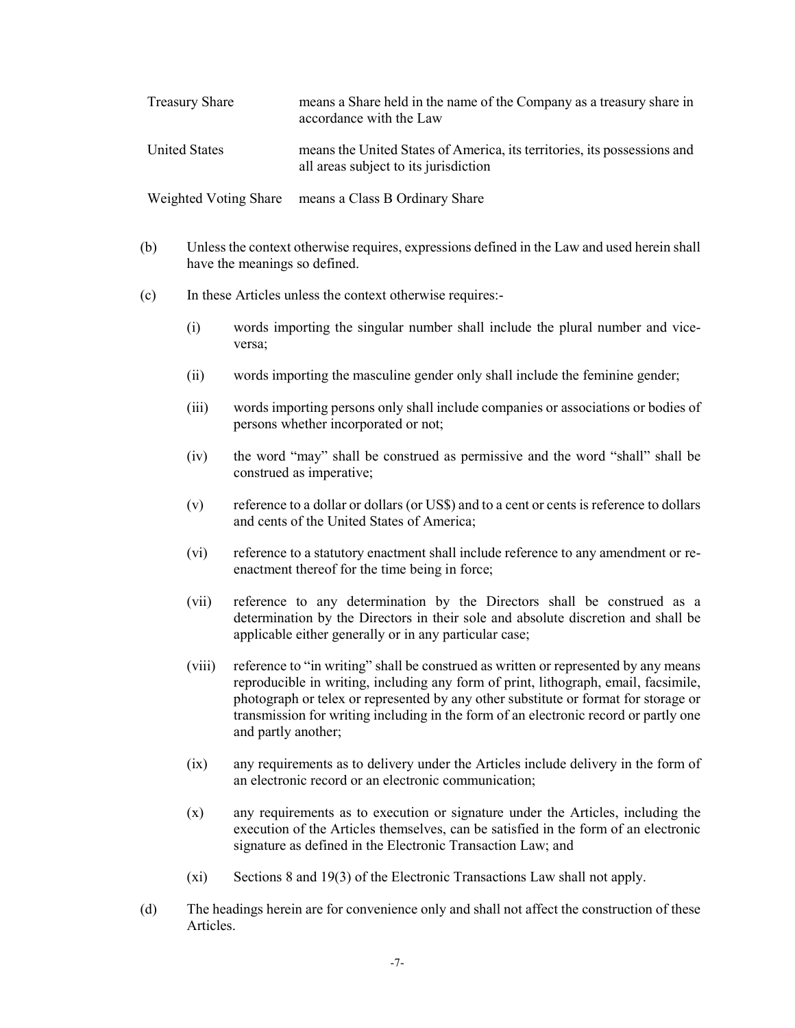| <b>Treasury Share</b> | means a Share held in the name of the Company as a treasury share in<br>accordance with the Law                   |
|-----------------------|-------------------------------------------------------------------------------------------------------------------|
| United States         | means the United States of America, its territories, its possessions and<br>all areas subject to its jurisdiction |

Weighted Voting Share means a Class B Ordinary Share

- (b) Unless the context otherwise requires, expressions defined in the Law and used herein shall have the meanings so defined.
- (c) In these Articles unless the context otherwise requires:-
	- (i) words importing the singular number shall include the plural number and viceversa;
	- (ii) words importing the masculine gender only shall include the feminine gender;
	- (iii) words importing persons only shall include companies or associations or bodies of persons whether incorporated or not;
	- (iv) the word "may" shall be construed as permissive and the word "shall" shall be construed as imperative;
	- (v) reference to a dollar or dollars (or US\$) and to a cent or cents is reference to dollars and cents of the United States of America;
	- (vi) reference to a statutory enactment shall include reference to any amendment or reenactment thereof for the time being in force;
	- (vii) reference to any determination by the Directors shall be construed as a determination by the Directors in their sole and absolute discretion and shall be applicable either generally or in any particular case;
	- (viii) reference to "in writing" shall be construed as written or represented by any means reproducible in writing, including any form of print, lithograph, email, facsimile, photograph or telex or represented by any other substitute or format for storage or transmission for writing including in the form of an electronic record or partly one and partly another;
	- (ix) any requirements as to delivery under the Articles include delivery in the form of an electronic record or an electronic communication;
	- (x) any requirements as to execution or signature under the Articles, including the execution of the Articles themselves, can be satisfied in the form of an electronic signature as defined in the Electronic Transaction Law; and
	- (xi) Sections 8 and 19(3) of the Electronic Transactions Law shall not apply.
- (d) The headings herein are for convenience only and shall not affect the construction of these Articles.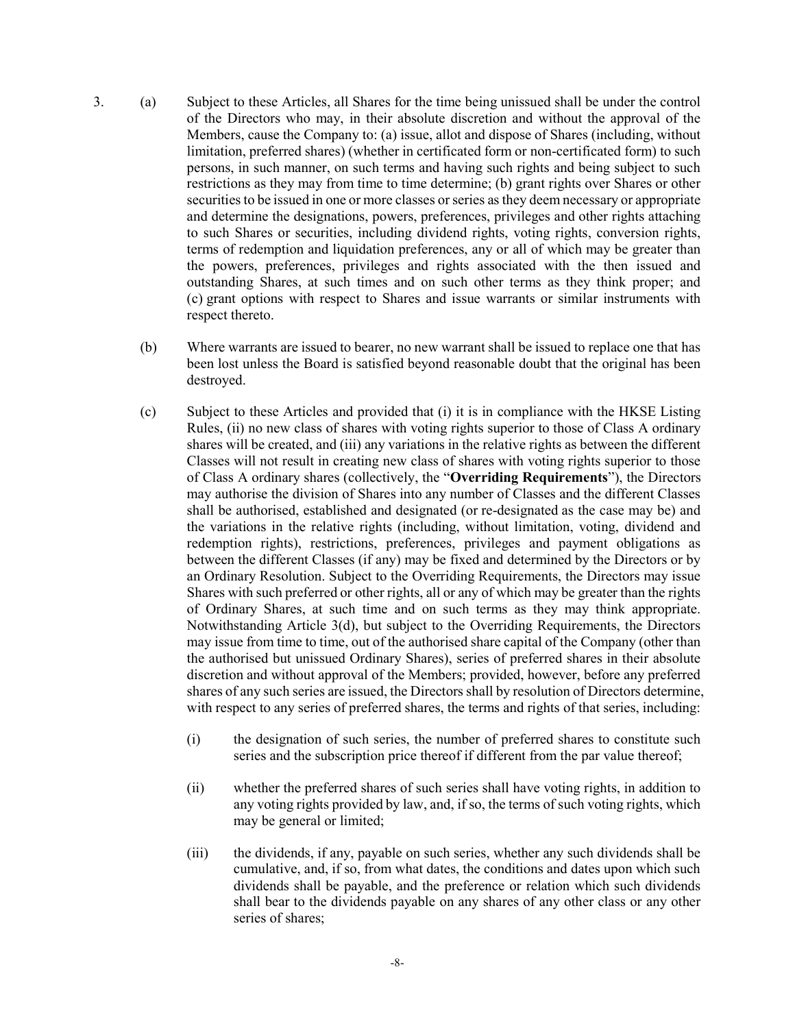- 3. (a) Subject to these Articles, all Shares for the time being unissued shall be under the control of the Directors who may, in their absolute discretion and without the approval of the Members, cause the Company to: (a) issue, allot and dispose of Shares (including, without limitation, preferred shares) (whether in certificated form or non-certificated form) to such persons, in such manner, on such terms and having such rights and being subject to such restrictions as they may from time to time determine; (b) grant rights over Shares or other securities to be issued in one or more classes or series as they deem necessary or appropriate and determine the designations, powers, preferences, privileges and other rights attaching to such Shares or securities, including dividend rights, voting rights, conversion rights, terms of redemption and liquidation preferences, any or all of which may be greater than the powers, preferences, privileges and rights associated with the then issued and outstanding Shares, at such times and on such other terms as they think proper; and (c) grant options with respect to Shares and issue warrants or similar instruments with respect thereto.
	- (b) Where warrants are issued to bearer, no new warrant shall be issued to replace one that has been lost unless the Board is satisfied beyond reasonable doubt that the original has been destroyed.
	- (c) Subject to these Articles and provided that (i) it is in compliance with the HKSE Listing Rules, (ii) no new class of shares with voting rights superior to those of Class A ordinary shares will be created, and (iii) any variations in the relative rights as between the different Classes will not result in creating new class of shares with voting rights superior to those of Class A ordinary shares (collectively, the "Overriding Requirements"), the Directors may authorise the division of Shares into any number of Classes and the different Classes shall be authorised, established and designated (or re-designated as the case may be) and the variations in the relative rights (including, without limitation, voting, dividend and redemption rights), restrictions, preferences, privileges and payment obligations as between the different Classes (if any) may be fixed and determined by the Directors or by an Ordinary Resolution. Subject to the Overriding Requirements, the Directors may issue Shares with such preferred or other rights, all or any of which may be greater than the rights of Ordinary Shares, at such time and on such terms as they may think appropriate. Notwithstanding Article 3(d), but subject to the Overriding Requirements, the Directors may issue from time to time, out of the authorised share capital of the Company (other than the authorised but unissued Ordinary Shares), series of preferred shares in their absolute discretion and without approval of the Members; provided, however, before any preferred shares of any such series are issued, the Directors shall by resolution of Directors determine, with respect to any series of preferred shares, the terms and rights of that series, including:
		- (i) the designation of such series, the number of preferred shares to constitute such series and the subscription price thereof if different from the par value thereof;
		- (ii) whether the preferred shares of such series shall have voting rights, in addition to any voting rights provided by law, and, if so, the terms of such voting rights, which may be general or limited;
		- (iii) the dividends, if any, payable on such series, whether any such dividends shall be cumulative, and, if so, from what dates, the conditions and dates upon which such dividends shall be payable, and the preference or relation which such dividends shall bear to the dividends payable on any shares of any other class or any other series of shares;

-8-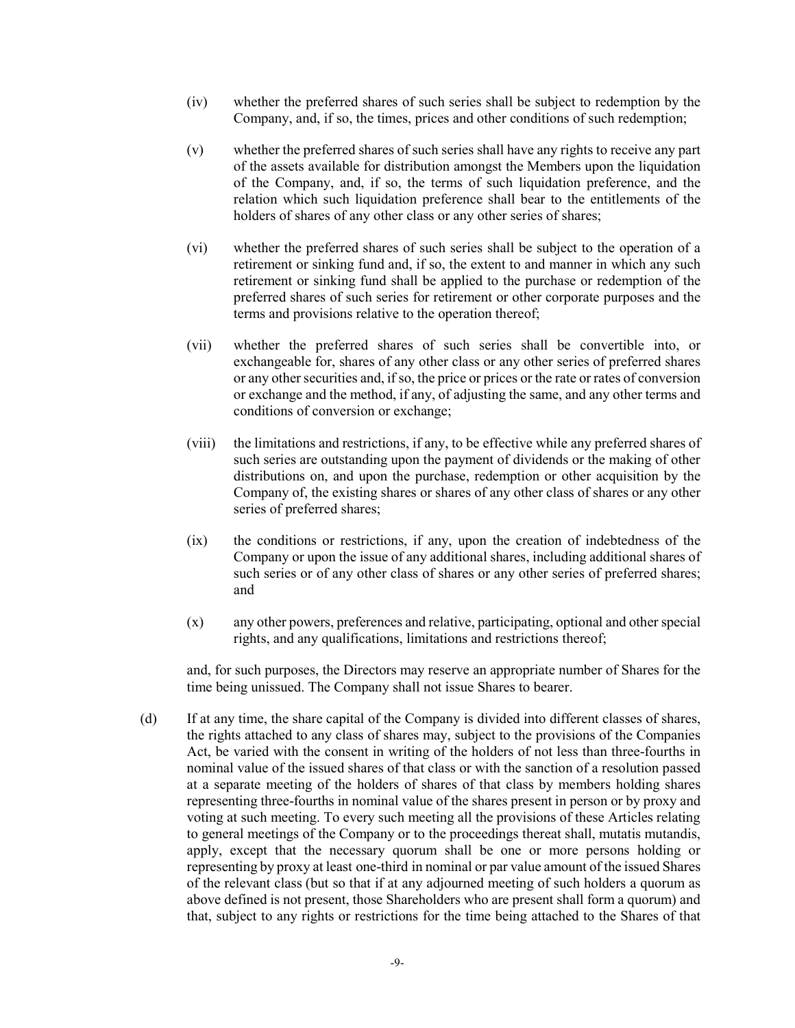- (iv) whether the preferred shares of such series shall be subject to redemption by the Company, and, if so, the times, prices and other conditions of such redemption;
- (v) whether the preferred shares of such series shall have any rights to receive any part of the assets available for distribution amongst the Members upon the liquidation of the Company, and, if so, the terms of such liquidation preference, and the relation which such liquidation preference shall bear to the entitlements of the holders of shares of any other class or any other series of shares;
- (vi) whether the preferred shares of such series shall be subject to the operation of a retirement or sinking fund and, if so, the extent to and manner in which any such retirement or sinking fund shall be applied to the purchase or redemption of the preferred shares of such series for retirement or other corporate purposes and the terms and provisions relative to the operation thereof;
- (vii) whether the preferred shares of such series shall be convertible into, or exchangeable for, shares of any other class or any other series of preferred shares or any other securities and, if so, the price or prices or the rate or rates of conversion or exchange and the method, if any, of adjusting the same, and any other terms and conditions of conversion or exchange;
- (viii) the limitations and restrictions, if any, to be effective while any preferred shares of such series are outstanding upon the payment of dividends or the making of other distributions on, and upon the purchase, redemption or other acquisition by the Company of, the existing shares or shares of any other class of shares or any other series of preferred shares;
- (ix) the conditions or restrictions, if any, upon the creation of indebtedness of the Company or upon the issue of any additional shares, including additional shares of such series or of any other class of shares or any other series of preferred shares; and
- (x) any other powers, preferences and relative, participating, optional and other special rights, and any qualifications, limitations and restrictions thereof;

and, for such purposes, the Directors may reserve an appropriate number of Shares for the time being unissued. The Company shall not issue Shares to bearer.

(d) If at any time, the share capital of the Company is divided into different classes of shares, the rights attached to any class of shares may, subject to the provisions of the Companies Act, be varied with the consent in writing of the holders of not less than three-fourths in nominal value of the issued shares of that class or with the sanction of a resolution passed at a separate meeting of the holders of shares of that class by members holding shares representing three-fourths in nominal value of the shares present in person or by proxy and voting at such meeting. To every such meeting all the provisions of these Articles relating to general meetings of the Company or to the proceedings thereat shall, mutatis mutandis, apply, except that the necessary quorum shall be one or more persons holding or representing by proxy at least one-third in nominal or par value amount of the issued Shares of the relevant class (but so that if at any adjourned meeting of such holders a quorum as above defined is not present, those Shareholders who are present shall form a quorum) and that, subject to any rights or restrictions for the time being attached to the Shares of that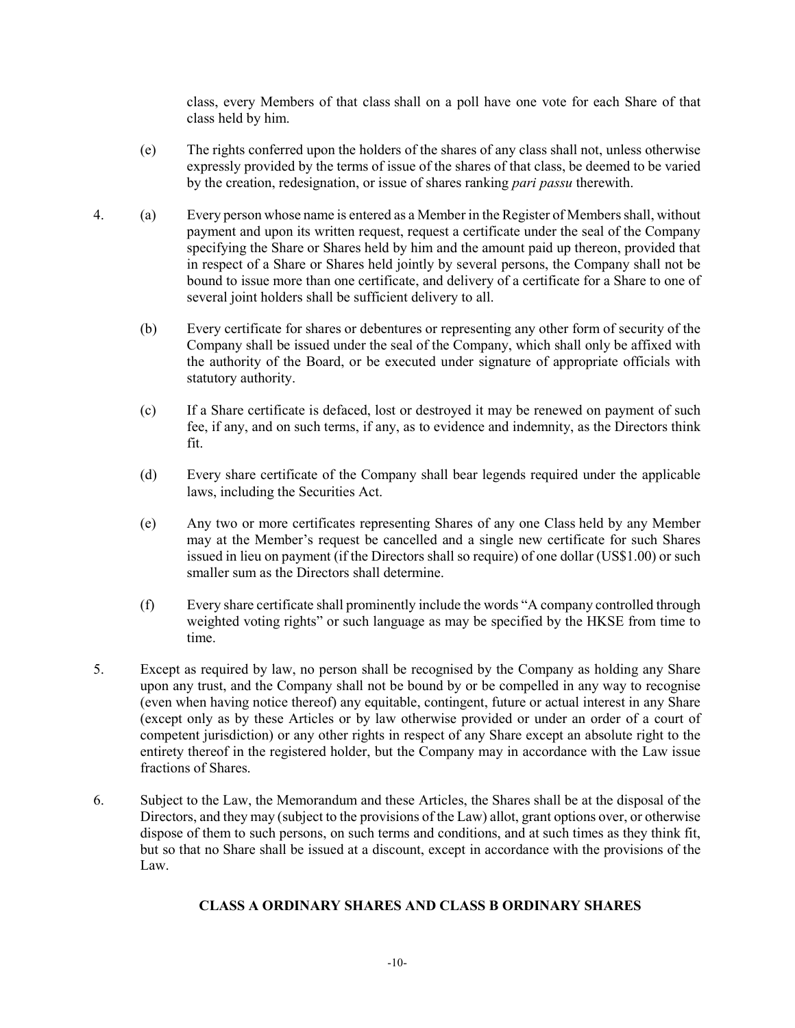class, every Members of that class shall on a poll have one vote for each Share of that class held by him.

- (e) The rights conferred upon the holders of the shares of any class shall not, unless otherwise expressly provided by the terms of issue of the shares of that class, be deemed to be varied by the creation, redesignation, or issue of shares ranking pari passu therewith.
- 4. (a) Every person whose name is entered as a Member in the Register of Members shall, without payment and upon its written request, request a certificate under the seal of the Company specifying the Share or Shares held by him and the amount paid up thereon, provided that in respect of a Share or Shares held jointly by several persons, the Company shall not be bound to issue more than one certificate, and delivery of a certificate for a Share to one of several joint holders shall be sufficient delivery to all.
	- (b) Every certificate for shares or debentures or representing any other form of security of the Company shall be issued under the seal of the Company, which shall only be affixed with the authority of the Board, or be executed under signature of appropriate officials with statutory authority.
	- (c) If a Share certificate is defaced, lost or destroyed it may be renewed on payment of such fee, if any, and on such terms, if any, as to evidence and indemnity, as the Directors think fit.
	- (d) Every share certificate of the Company shall bear legends required under the applicable laws, including the Securities Act.
	- (e) Any two or more certificates representing Shares of any one Class held by any Member may at the Member's request be cancelled and a single new certificate for such Shares issued in lieu on payment (if the Directors shall so require) of one dollar (US\$1.00) or such smaller sum as the Directors shall determine.
	- (f) Every share certificate shall prominently include the words "A company controlled through weighted voting rights" or such language as may be specified by the HKSE from time to time.
- 5. Except as required by law, no person shall be recognised by the Company as holding any Share upon any trust, and the Company shall not be bound by or be compelled in any way to recognise (even when having notice thereof) any equitable, contingent, future or actual interest in any Share (except only as by these Articles or by law otherwise provided or under an order of a court of competent jurisdiction) or any other rights in respect of any Share except an absolute right to the entirety thereof in the registered holder, but the Company may in accordance with the Law issue fractions of Shares.
- 6. Subject to the Law, the Memorandum and these Articles, the Shares shall be at the disposal of the Directors, and they may (subject to the provisions of the Law) allot, grant options over, or otherwise dispose of them to such persons, on such terms and conditions, and at such times as they think fit, but so that no Share shall be issued at a discount, except in accordance with the provisions of the Law.

# CLASS A ORDINARY SHARES AND CLASS B ORDINARY SHARES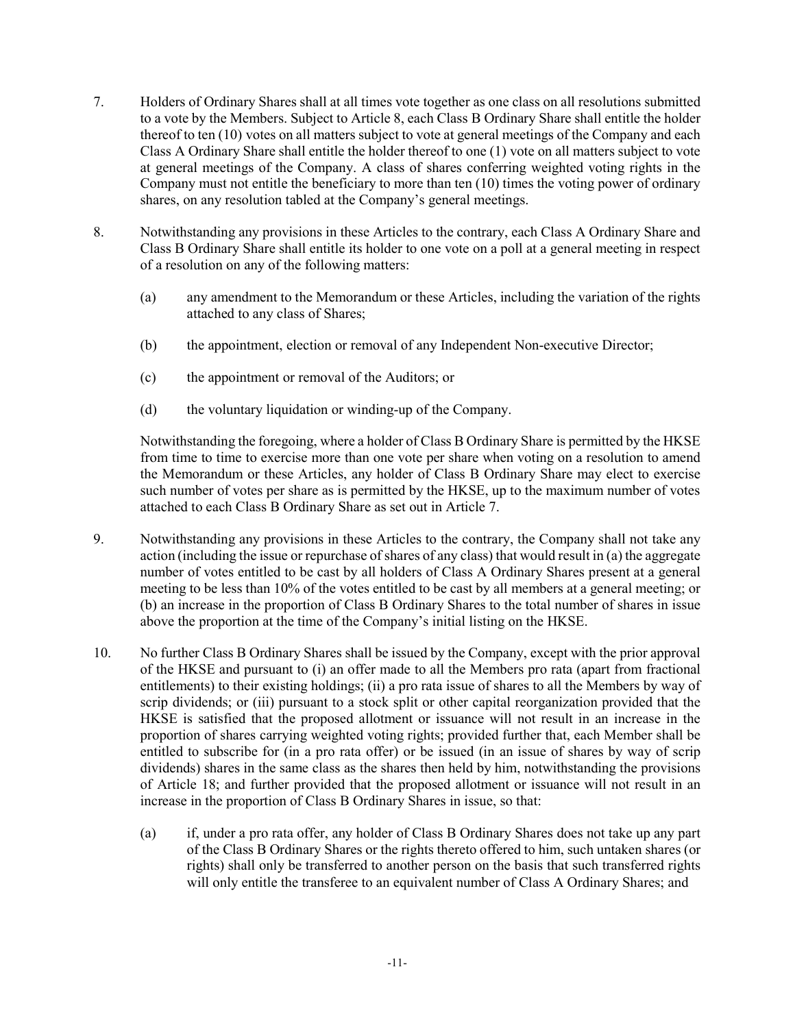- 7. Holders of Ordinary Shares shall at all times vote together as one class on all resolutions submitted to a vote by the Members. Subject to Article 8, each Class B Ordinary Share shall entitle the holder thereof to ten (10) votes on all matters subject to vote at general meetings of the Company and each Class A Ordinary Share shall entitle the holder thereof to one (1) vote on all matters subject to vote at general meetings of the Company. A class of shares conferring weighted voting rights in the Company must not entitle the beneficiary to more than ten (10) times the voting power of ordinary shares, on any resolution tabled at the Company's general meetings.
- 8. Notwithstanding any provisions in these Articles to the contrary, each Class A Ordinary Share and Class B Ordinary Share shall entitle its holder to one vote on a poll at a general meeting in respect of a resolution on any of the following matters:
	- (a) any amendment to the Memorandum or these Articles, including the variation of the rights attached to any class of Shares;
	- (b) the appointment, election or removal of any Independent Non-executive Director;
	- (c) the appointment or removal of the Auditors; or
	- (d) the voluntary liquidation or winding-up of the Company.

Notwithstanding the foregoing, where a holder of Class B Ordinary Share is permitted by the HKSE from time to time to exercise more than one vote per share when voting on a resolution to amend the Memorandum or these Articles, any holder of Class B Ordinary Share may elect to exercise such number of votes per share as is permitted by the HKSE, up to the maximum number of votes attached to each Class B Ordinary Share as set out in Article 7.

- 9. Notwithstanding any provisions in these Articles to the contrary, the Company shall not take any action (including the issue or repurchase of shares of any class) that would result in (a) the aggregate number of votes entitled to be cast by all holders of Class A Ordinary Shares present at a general meeting to be less than 10% of the votes entitled to be cast by all members at a general meeting; or (b) an increase in the proportion of Class B Ordinary Shares to the total number of shares in issue above the proportion at the time of the Company's initial listing on the HKSE.
- 10. No further Class B Ordinary Shares shall be issued by the Company, except with the prior approval of the HKSE and pursuant to (i) an offer made to all the Members pro rata (apart from fractional entitlements) to their existing holdings; (ii) a pro rata issue of shares to all the Members by way of scrip dividends; or (iii) pursuant to a stock split or other capital reorganization provided that the HKSE is satisfied that the proposed allotment or issuance will not result in an increase in the proportion of shares carrying weighted voting rights; provided further that, each Member shall be entitled to subscribe for (in a pro rata offer) or be issued (in an issue of shares by way of scrip dividends) shares in the same class as the shares then held by him, notwithstanding the provisions of Article 18; and further provided that the proposed allotment or issuance will not result in an increase in the proportion of Class B Ordinary Shares in issue, so that:
	- (a) if, under a pro rata offer, any holder of Class B Ordinary Shares does not take up any part of the Class B Ordinary Shares or the rights thereto offered to him, such untaken shares (or rights) shall only be transferred to another person on the basis that such transferred rights will only entitle the transferee to an equivalent number of Class A Ordinary Shares; and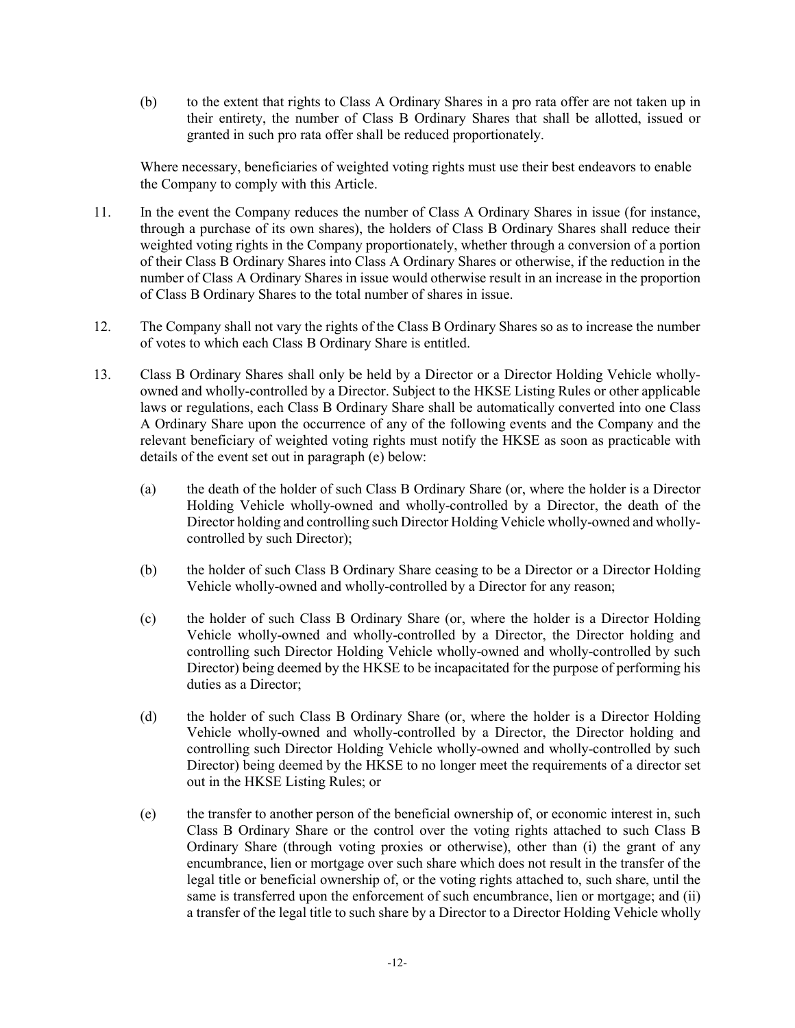(b) to the extent that rights to Class A Ordinary Shares in a pro rata offer are not taken up in their entirety, the number of Class B Ordinary Shares that shall be allotted, issued or granted in such pro rata offer shall be reduced proportionately.

Where necessary, beneficiaries of weighted voting rights must use their best endeavors to enable the Company to comply with this Article.

- 11. In the event the Company reduces the number of Class A Ordinary Shares in issue (for instance, through a purchase of its own shares), the holders of Class B Ordinary Shares shall reduce their weighted voting rights in the Company proportionately, whether through a conversion of a portion of their Class B Ordinary Shares into Class A Ordinary Shares or otherwise, if the reduction in the number of Class A Ordinary Shares in issue would otherwise result in an increase in the proportion of Class B Ordinary Shares to the total number of shares in issue.
- 12. The Company shall not vary the rights of the Class B Ordinary Shares so as to increase the number of votes to which each Class B Ordinary Share is entitled.
- 13. Class B Ordinary Shares shall only be held by a Director or a Director Holding Vehicle whollyowned and wholly-controlled by a Director. Subject to the HKSE Listing Rules or other applicable laws or regulations, each Class B Ordinary Share shall be automatically converted into one Class A Ordinary Share upon the occurrence of any of the following events and the Company and the relevant beneficiary of weighted voting rights must notify the HKSE as soon as practicable with details of the event set out in paragraph (e) below:
	- (a) the death of the holder of such Class B Ordinary Share (or, where the holder is a Director Holding Vehicle wholly-owned and wholly-controlled by a Director, the death of the Director holding and controlling such Director Holding Vehicle wholly-owned and whollycontrolled by such Director);
	- (b) the holder of such Class B Ordinary Share ceasing to be a Director or a Director Holding Vehicle wholly-owned and wholly-controlled by a Director for any reason;
	- (c) the holder of such Class B Ordinary Share (or, where the holder is a Director Holding Vehicle wholly-owned and wholly-controlled by a Director, the Director holding and controlling such Director Holding Vehicle wholly-owned and wholly-controlled by such Director) being deemed by the HKSE to be incapacitated for the purpose of performing his duties as a Director;
	- (d) the holder of such Class B Ordinary Share (or, where the holder is a Director Holding Vehicle wholly-owned and wholly-controlled by a Director, the Director holding and controlling such Director Holding Vehicle wholly-owned and wholly-controlled by such Director) being deemed by the HKSE to no longer meet the requirements of a director set out in the HKSE Listing Rules; or
	- (e) the transfer to another person of the beneficial ownership of, or economic interest in, such Class B Ordinary Share or the control over the voting rights attached to such Class B Ordinary Share (through voting proxies or otherwise), other than (i) the grant of any encumbrance, lien or mortgage over such share which does not result in the transfer of the legal title or beneficial ownership of, or the voting rights attached to, such share, until the same is transferred upon the enforcement of such encumbrance, lien or mortgage; and (ii) a transfer of the legal title to such share by a Director to a Director Holding Vehicle wholly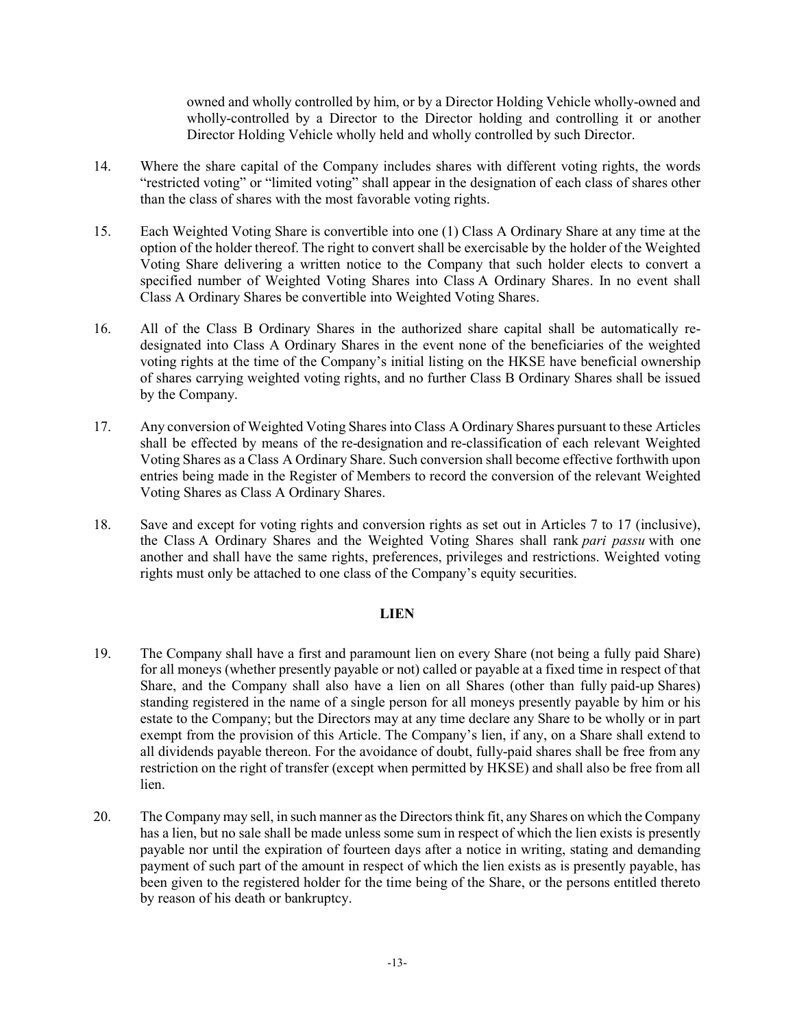owned and wholly controlled by him, or by a Director Holding Vehicle wholly-owned and wholly-controlled by a Director to the Director holding and controlling it or another Director Holding Vehicle wholly held and wholly controlled by such Director.

- 14. Where the share capital of the Company includes shares with different voting rights, the words "restricted voting" or "limited voting" shall appear in the designation of each class of shares other than the class of shares with the most favorable voting rights.
- 15. Each Weighted Voting Share is convertible into one (1) Class A Ordinary Share at any time at the option of the holder thereof. The right to convert shall be exercisable by the holder of the Weighted Voting Share delivering a written notice to the Company that such holder elects to convert a specified number of Weighted Voting Shares into Class A Ordinary Shares. In no event shall Class A Ordinary Shares be convertible into Weighted Voting Shares.
- 16. All of the Class B Ordinary Shares in the authorized share capital shall be automatically redesignated into Class A Ordinary Shares in the event none of the beneficiaries of the weighted voting rights at the time of the Company's initial listing on the HKSE have beneficial ownership of shares carrying weighted voting rights, and no further Class B Ordinary Shares shall be issued by the Company.
- 17. Any conversion of Weighted Voting Shares into Class A Ordinary Shares pursuant to these Articles shall be effected by means of the re-designation and re-classification of each relevant Weighted Voting Shares as a Class A Ordinary Share. Such conversion shall become effective forthwith upon entries being made in the Register of Members to record the conversion of the relevant Weighted Voting Shares as Class A Ordinary Shares.
- 18. Save and except for voting rights and conversion rights as set out in Articles 7 to 17 (inclusive), the Class A Ordinary Shares and the Weighted Voting Shares shall rank pari passu with one another and shall have the same rights, preferences, privileges and restrictions. Weighted voting rights must only be attached to one class of the Company's equity securities.

# LIEN

- 19. The Company shall have a first and paramount lien on every Share (not being a fully paid Share) for all moneys (whether presently payable or not) called or payable at a fixed time in respect of that Share, and the Company shall also have a lien on all Shares (other than fully paid-up Shares) standing registered in the name of a single person for all moneys presently payable by him or his estate to the Company; but the Directors may at any time declare any Share to be wholly or in part exempt from the provision of this Article. The Company's lien, if any, on a Share shall extend to all dividends payable thereon. For the avoidance of doubt, fully-paid shares shall be free from any restriction on the right of transfer (except when permitted by HKSE) and shall also be free from all lien.
- 20. The Company may sell, in such manner as the Directors think fit, any Shares on which the Company has a lien, but no sale shall be made unless some sum in respect of which the lien exists is presently payable nor until the expiration of fourteen days after a notice in writing, stating and demanding payment of such part of the amount in respect of which the lien exists as is presently payable, has been given to the registered holder for the time being of the Share, or the persons entitled thereto by reason of his death or bankruptcy.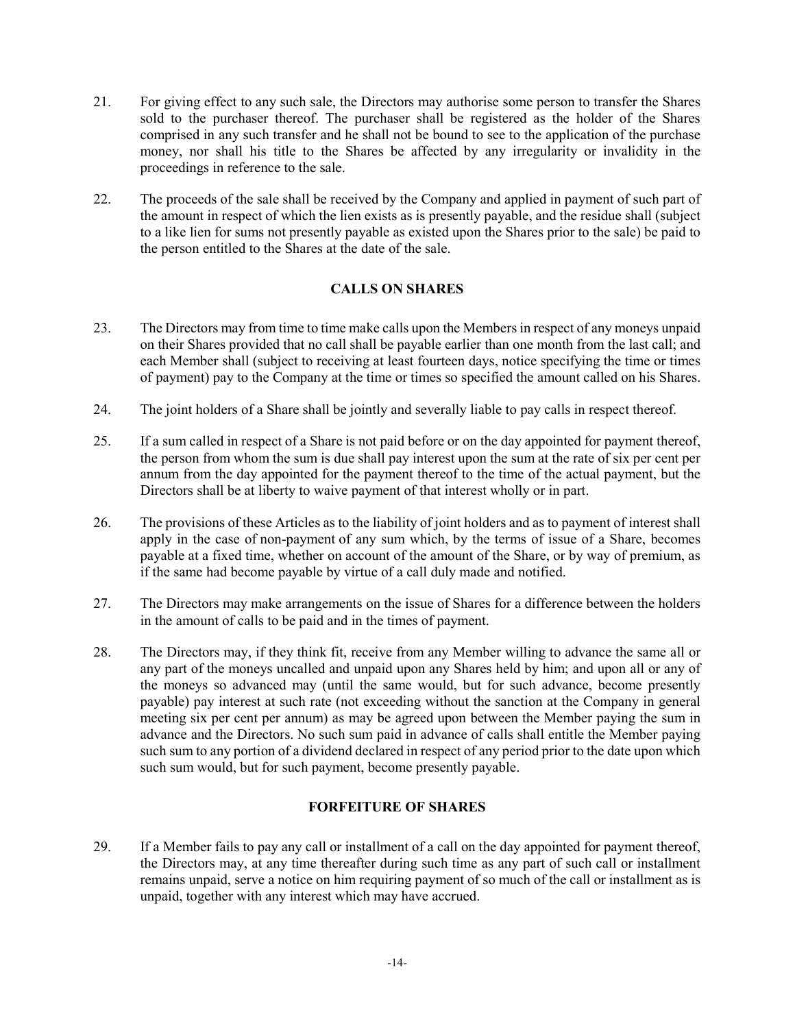- 21. For giving effect to any such sale, the Directors may authorise some person to transfer the Shares sold to the purchaser thereof. The purchaser shall be registered as the holder of the Shares comprised in any such transfer and he shall not be bound to see to the application of the purchase money, nor shall his title to the Shares be affected by any irregularity or invalidity in the proceedings in reference to the sale.
- 22. The proceeds of the sale shall be received by the Company and applied in payment of such part of the amount in respect of which the lien exists as is presently payable, and the residue shall (subject to a like lien for sums not presently payable as existed upon the Shares prior to the sale) be paid to the person entitled to the Shares at the date of the sale.

# CALLS ON SHARES

- 23. The Directors may from time to time make calls upon the Members in respect of any moneys unpaid on their Shares provided that no call shall be payable earlier than one month from the last call; and each Member shall (subject to receiving at least fourteen days, notice specifying the time or times of payment) pay to the Company at the time or times so specified the amount called on his Shares.
- 24. The joint holders of a Share shall be jointly and severally liable to pay calls in respect thereof.
- 25. If a sum called in respect of a Share is not paid before or on the day appointed for payment thereof, the person from whom the sum is due shall pay interest upon the sum at the rate of six per cent per annum from the day appointed for the payment thereof to the time of the actual payment, but the Directors shall be at liberty to waive payment of that interest wholly or in part.
- 26. The provisions of these Articles as to the liability of joint holders and as to payment of interest shall apply in the case of non-payment of any sum which, by the terms of issue of a Share, becomes payable at a fixed time, whether on account of the amount of the Share, or by way of premium, as if the same had become payable by virtue of a call duly made and notified.
- 27. The Directors may make arrangements on the issue of Shares for a difference between the holders in the amount of calls to be paid and in the times of payment.
- 28. The Directors may, if they think fit, receive from any Member willing to advance the same all or any part of the moneys uncalled and unpaid upon any Shares held by him; and upon all or any of the moneys so advanced may (until the same would, but for such advance, become presently payable) pay interest at such rate (not exceeding without the sanction at the Company in general meeting six per cent per annum) as may be agreed upon between the Member paying the sum in advance and the Directors. No such sum paid in advance of calls shall entitle the Member paying such sum to any portion of a dividend declared in respect of any period prior to the date upon which such sum would, but for such payment, become presently payable.

# FORFEITURE OF SHARES

29. If a Member fails to pay any call or installment of a call on the day appointed for payment thereof, the Directors may, at any time thereafter during such time as any part of such call or installment remains unpaid, serve a notice on him requiring payment of so much of the call or installment as is unpaid, together with any interest which may have accrued.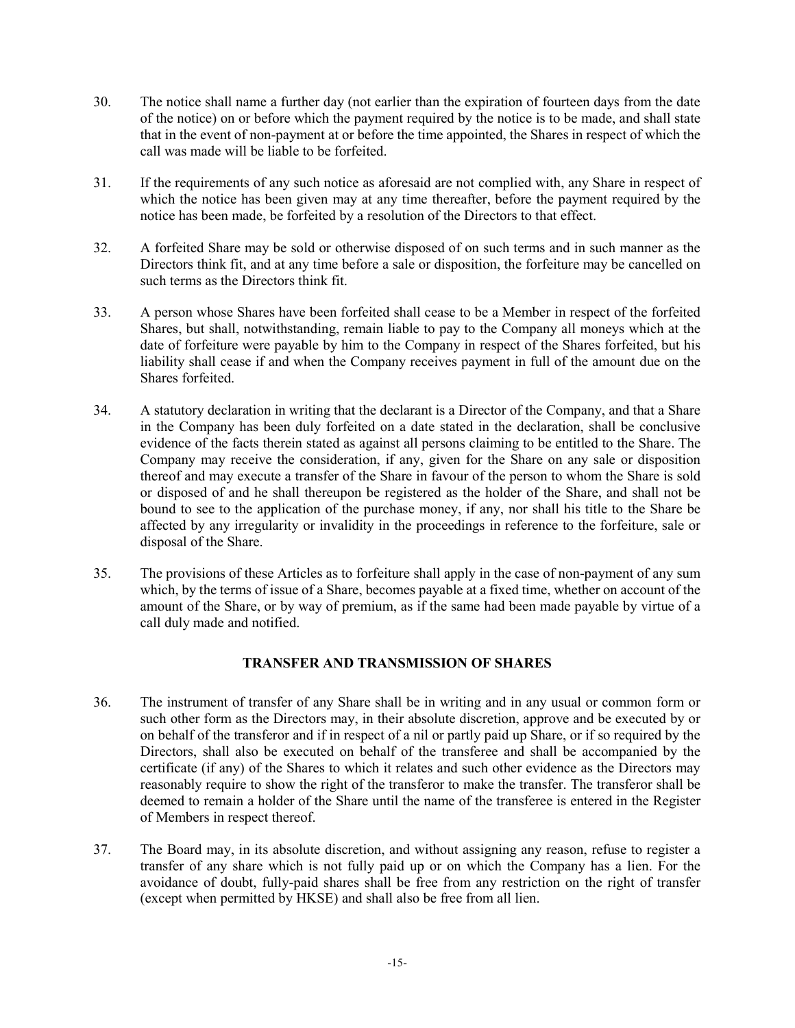- 30. The notice shall name a further day (not earlier than the expiration of fourteen days from the date of the notice) on or before which the payment required by the notice is to be made, and shall state that in the event of non-payment at or before the time appointed, the Shares in respect of which the call was made will be liable to be forfeited.
- 31. If the requirements of any such notice as aforesaid are not complied with, any Share in respect of which the notice has been given may at any time thereafter, before the payment required by the notice has been made, be forfeited by a resolution of the Directors to that effect.
- 32. A forfeited Share may be sold or otherwise disposed of on such terms and in such manner as the Directors think fit, and at any time before a sale or disposition, the forfeiture may be cancelled on such terms as the Directors think fit.
- 33. A person whose Shares have been forfeited shall cease to be a Member in respect of the forfeited Shares, but shall, notwithstanding, remain liable to pay to the Company all moneys which at the date of forfeiture were payable by him to the Company in respect of the Shares forfeited, but his liability shall cease if and when the Company receives payment in full of the amount due on the Shares forfeited.
- 34. A statutory declaration in writing that the declarant is a Director of the Company, and that a Share in the Company has been duly forfeited on a date stated in the declaration, shall be conclusive evidence of the facts therein stated as against all persons claiming to be entitled to the Share. The Company may receive the consideration, if any, given for the Share on any sale or disposition thereof and may execute a transfer of the Share in favour of the person to whom the Share is sold or disposed of and he shall thereupon be registered as the holder of the Share, and shall not be bound to see to the application of the purchase money, if any, nor shall his title to the Share be affected by any irregularity or invalidity in the proceedings in reference to the forfeiture, sale or disposal of the Share.
- 35. The provisions of these Articles as to forfeiture shall apply in the case of non-payment of any sum which, by the terms of issue of a Share, becomes payable at a fixed time, whether on account of the amount of the Share, or by way of premium, as if the same had been made payable by virtue of a call duly made and notified.

# TRANSFER AND TRANSMISSION OF SHARES

- 36. The instrument of transfer of any Share shall be in writing and in any usual or common form or such other form as the Directors may, in their absolute discretion, approve and be executed by or on behalf of the transferor and if in respect of a nil or partly paid up Share, or if so required by the Directors, shall also be executed on behalf of the transferee and shall be accompanied by the certificate (if any) of the Shares to which it relates and such other evidence as the Directors may reasonably require to show the right of the transferor to make the transfer. The transferor shall be deemed to remain a holder of the Share until the name of the transferee is entered in the Register of Members in respect thereof.
- 37. The Board may, in its absolute discretion, and without assigning any reason, refuse to register a transfer of any share which is not fully paid up or on which the Company has a lien. For the avoidance of doubt, fully-paid shares shall be free from any restriction on the right of transfer (except when permitted by HKSE) and shall also be free from all lien.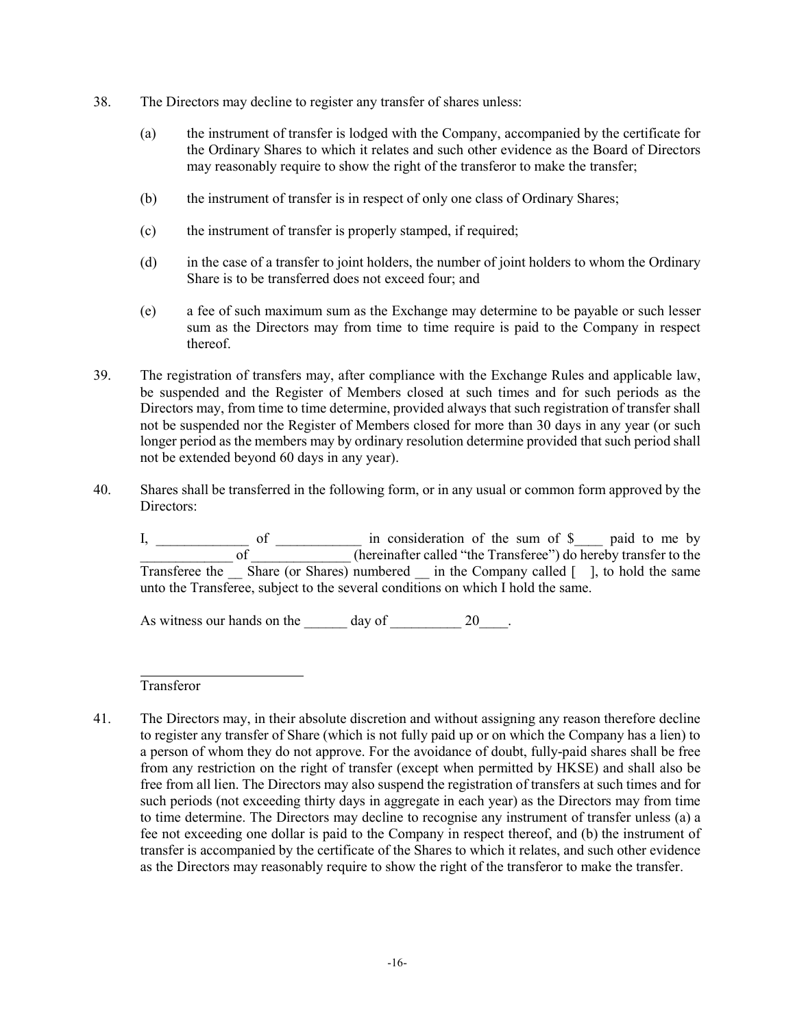- 38. The Directors may decline to register any transfer of shares unless:
	- (a) the instrument of transfer is lodged with the Company, accompanied by the certificate for the Ordinary Shares to which it relates and such other evidence as the Board of Directors may reasonably require to show the right of the transferor to make the transfer;
	- (b) the instrument of transfer is in respect of only one class of Ordinary Shares;
	- (c) the instrument of transfer is properly stamped, if required;
	- (d) in the case of a transfer to joint holders, the number of joint holders to whom the Ordinary Share is to be transferred does not exceed four; and
	- (e) a fee of such maximum sum as the Exchange may determine to be payable or such lesser sum as the Directors may from time to time require is paid to the Company in respect thereof.
- 39. The registration of transfers may, after compliance with the Exchange Rules and applicable law, be suspended and the Register of Members closed at such times and for such periods as the Directors may, from time to time determine, provided always that such registration of transfer shall not be suspended nor the Register of Members closed for more than 30 days in any year (or such longer period as the members may by ordinary resolution determine provided that such period shall not be extended beyond 60 days in any year).
- 40. Shares shall be transferred in the following form, or in any usual or common form approved by the Directors:

I, of an in consideration of the sum of \$ paid to me by of the example of the example of the Chereinafter called "the Transferee") do hereby transfer to the Transferee the Share (or Shares) numbered in the Company called [ ], to hold the same unto the Transferee, subject to the several conditions on which I hold the same.

As witness our hands on the  $\frac{1}{\sqrt{2}}$  day of  $\frac{20}{\sqrt{2}}$ .

Transferor

41. The Directors may, in their absolute discretion and without assigning any reason therefore decline to register any transfer of Share (which is not fully paid up or on which the Company has a lien) to a person of whom they do not approve. For the avoidance of doubt, fully-paid shares shall be free from any restriction on the right of transfer (except when permitted by HKSE) and shall also be free from all lien. The Directors may also suspend the registration of transfers at such times and for such periods (not exceeding thirty days in aggregate in each year) as the Directors may from time to time determine. The Directors may decline to recognise any instrument of transfer unless (a) a fee not exceeding one dollar is paid to the Company in respect thereof, and (b) the instrument of transfer is accompanied by the certificate of the Shares to which it relates, and such other evidence as the Directors may reasonably require to show the right of the transferor to make the transfer.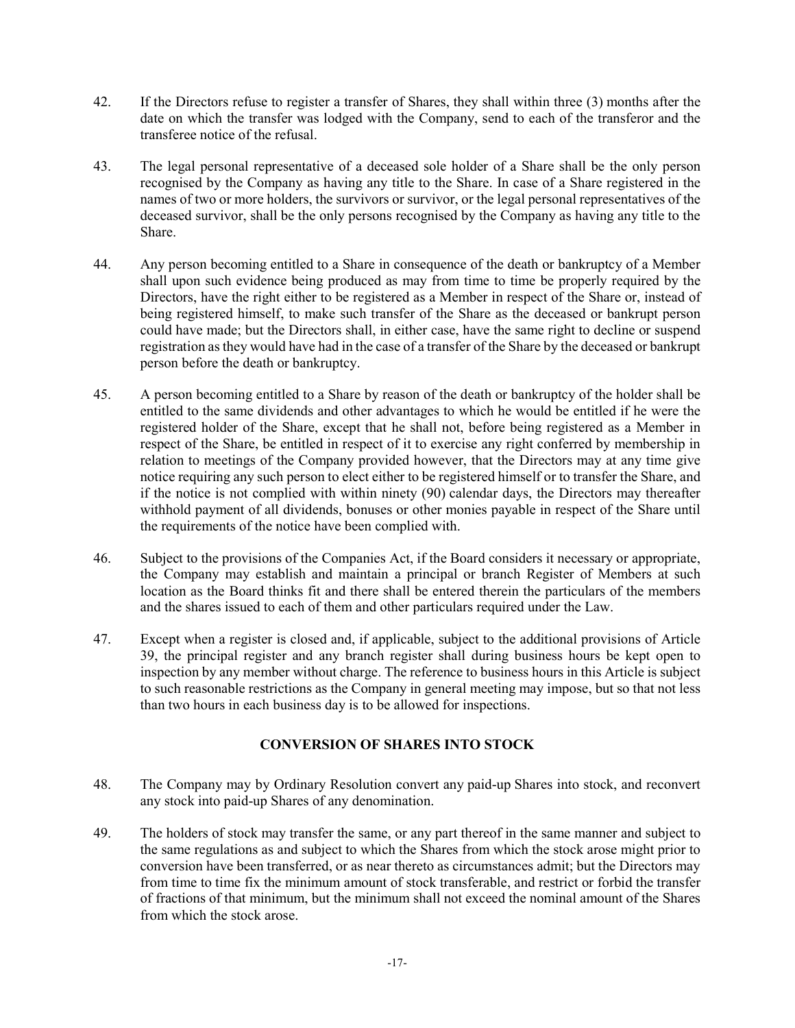- 42. If the Directors refuse to register a transfer of Shares, they shall within three (3) months after the date on which the transfer was lodged with the Company, send to each of the transferor and the transferee notice of the refusal.
- 43. The legal personal representative of a deceased sole holder of a Share shall be the only person recognised by the Company as having any title to the Share. In case of a Share registered in the names of two or more holders, the survivors or survivor, or the legal personal representatives of the deceased survivor, shall be the only persons recognised by the Company as having any title to the Share.
- 44. Any person becoming entitled to a Share in consequence of the death or bankruptcy of a Member shall upon such evidence being produced as may from time to time be properly required by the Directors, have the right either to be registered as a Member in respect of the Share or, instead of being registered himself, to make such transfer of the Share as the deceased or bankrupt person could have made; but the Directors shall, in either case, have the same right to decline or suspend registration as they would have had in the case of a transfer of the Share by the deceased or bankrupt person before the death or bankruptcy.
- 45. A person becoming entitled to a Share by reason of the death or bankruptcy of the holder shall be entitled to the same dividends and other advantages to which he would be entitled if he were the registered holder of the Share, except that he shall not, before being registered as a Member in respect of the Share, be entitled in respect of it to exercise any right conferred by membership in relation to meetings of the Company provided however, that the Directors may at any time give notice requiring any such person to elect either to be registered himself or to transfer the Share, and if the notice is not complied with within ninety (90) calendar days, the Directors may thereafter withhold payment of all dividends, bonuses or other monies payable in respect of the Share until the requirements of the notice have been complied with.
- 46. Subject to the provisions of the Companies Act, if the Board considers it necessary or appropriate, the Company may establish and maintain a principal or branch Register of Members at such location as the Board thinks fit and there shall be entered therein the particulars of the members and the shares issued to each of them and other particulars required under the Law.
- 47. Except when a register is closed and, if applicable, subject to the additional provisions of Article 39, the principal register and any branch register shall during business hours be kept open to inspection by any member without charge. The reference to business hours in this Article is subject to such reasonable restrictions as the Company in general meeting may impose, but so that not less than two hours in each business day is to be allowed for inspections.

# CONVERSION OF SHARES INTO STOCK

- 48. The Company may by Ordinary Resolution convert any paid-up Shares into stock, and reconvert any stock into paid-up Shares of any denomination.
- 49. The holders of stock may transfer the same, or any part thereof in the same manner and subject to the same regulations as and subject to which the Shares from which the stock arose might prior to conversion have been transferred, or as near thereto as circumstances admit; but the Directors may from time to time fix the minimum amount of stock transferable, and restrict or forbid the transfer of fractions of that minimum, but the minimum shall not exceed the nominal amount of the Shares from which the stock arose.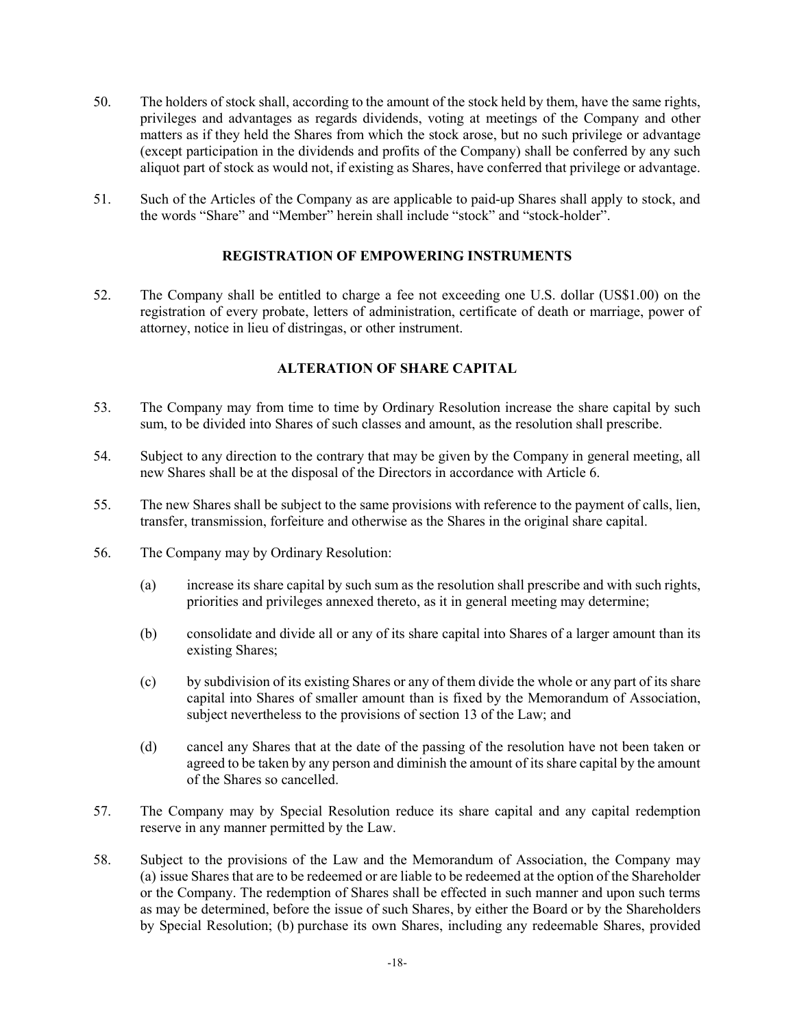- 50. The holders of stock shall, according to the amount of the stock held by them, have the same rights, privileges and advantages as regards dividends, voting at meetings of the Company and other matters as if they held the Shares from which the stock arose, but no such privilege or advantage (except participation in the dividends and profits of the Company) shall be conferred by any such aliquot part of stock as would not, if existing as Shares, have conferred that privilege or advantage.
- 51. Such of the Articles of the Company as are applicable to paid-up Shares shall apply to stock, and the words "Share" and "Member" herein shall include "stock" and "stock-holder".

# REGISTRATION OF EMPOWERING INSTRUMENTS

52. The Company shall be entitled to charge a fee not exceeding one U.S. dollar (US\$1.00) on the registration of every probate, letters of administration, certificate of death or marriage, power of attorney, notice in lieu of distringas, or other instrument.

# ALTERATION OF SHARE CAPITAL

- 53. The Company may from time to time by Ordinary Resolution increase the share capital by such sum, to be divided into Shares of such classes and amount, as the resolution shall prescribe.
- 54. Subject to any direction to the contrary that may be given by the Company in general meeting, all new Shares shall be at the disposal of the Directors in accordance with Article 6.
- 55. The new Shares shall be subject to the same provisions with reference to the payment of calls, lien, transfer, transmission, forfeiture and otherwise as the Shares in the original share capital.
- 56. The Company may by Ordinary Resolution:
	- (a) increase its share capital by such sum as the resolution shall prescribe and with such rights, priorities and privileges annexed thereto, as it in general meeting may determine;
	- (b) consolidate and divide all or any of its share capital into Shares of a larger amount than its existing Shares;
	- (c) by subdivision of its existing Shares or any of them divide the whole or any part of its share capital into Shares of smaller amount than is fixed by the Memorandum of Association, subject nevertheless to the provisions of section 13 of the Law; and
	- (d) cancel any Shares that at the date of the passing of the resolution have not been taken or agreed to be taken by any person and diminish the amount of its share capital by the amount of the Shares so cancelled.
- 57. The Company may by Special Resolution reduce its share capital and any capital redemption reserve in any manner permitted by the Law.
- 58. Subject to the provisions of the Law and the Memorandum of Association, the Company may (a) issue Shares that are to be redeemed or are liable to be redeemed at the option of the Shareholder or the Company. The redemption of Shares shall be effected in such manner and upon such terms as may be determined, before the issue of such Shares, by either the Board or by the Shareholders by Special Resolution; (b) purchase its own Shares, including any redeemable Shares, provided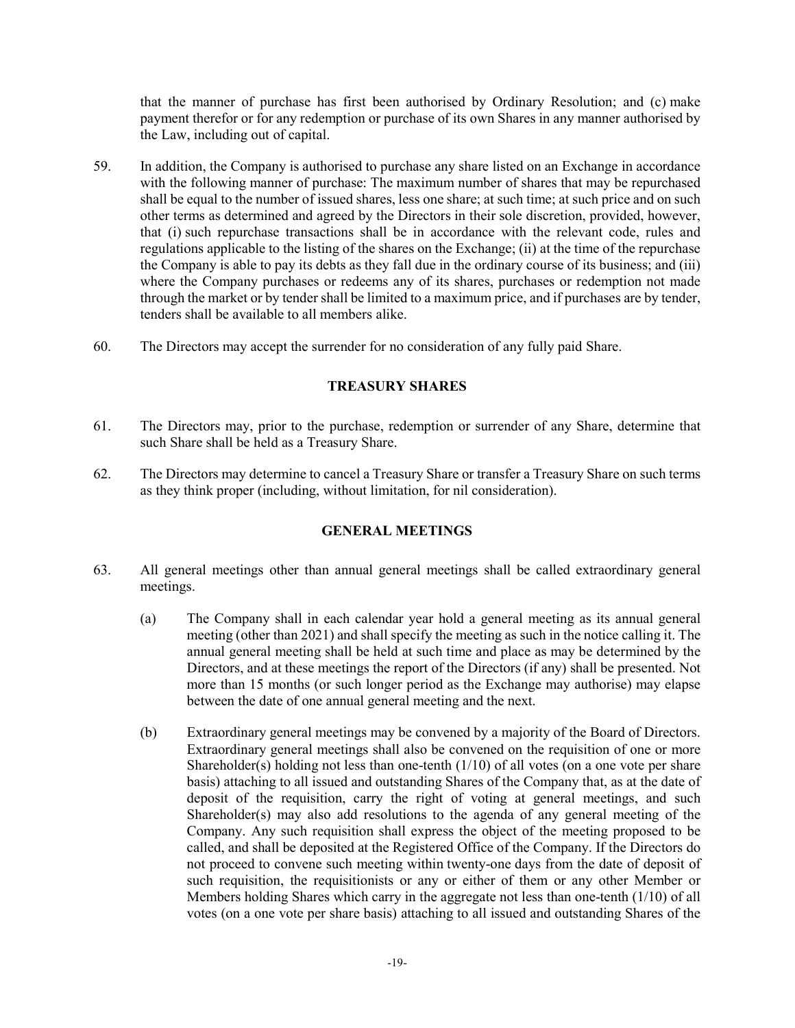that the manner of purchase has first been authorised by Ordinary Resolution; and (c) make payment therefor or for any redemption or purchase of its own Shares in any manner authorised by the Law, including out of capital.

- 59. In addition, the Company is authorised to purchase any share listed on an Exchange in accordance with the following manner of purchase: The maximum number of shares that may be repurchased shall be equal to the number of issued shares, less one share; at such time; at such price and on such other terms as determined and agreed by the Directors in their sole discretion, provided, however, that (i) such repurchase transactions shall be in accordance with the relevant code, rules and regulations applicable to the listing of the shares on the Exchange; (ii) at the time of the repurchase the Company is able to pay its debts as they fall due in the ordinary course of its business; and (iii) where the Company purchases or redeems any of its shares, purchases or redemption not made through the market or by tender shall be limited to a maximum price, and if purchases are by tender, tenders shall be available to all members alike.
- 60. The Directors may accept the surrender for no consideration of any fully paid Share.

# TREASURY SHARES

- 61. The Directors may, prior to the purchase, redemption or surrender of any Share, determine that such Share shall be held as a Treasury Share.
- 62. The Directors may determine to cancel a Treasury Share or transfer a Treasury Share on such terms as they think proper (including, without limitation, for nil consideration).

# GENERAL MEETINGS

- 63. All general meetings other than annual general meetings shall be called extraordinary general meetings.
	- (a) The Company shall in each calendar year hold a general meeting as its annual general meeting (other than 2021) and shall specify the meeting as such in the notice calling it. The annual general meeting shall be held at such time and place as may be determined by the Directors, and at these meetings the report of the Directors (if any) shall be presented. Not more than 15 months (or such longer period as the Exchange may authorise) may elapse between the date of one annual general meeting and the next.
	- (b) Extraordinary general meetings may be convened by a majority of the Board of Directors. Extraordinary general meetings shall also be convened on the requisition of one or more Shareholder(s) holding not less than one-tenth  $(1/10)$  of all votes (on a one vote per share basis) attaching to all issued and outstanding Shares of the Company that, as at the date of deposit of the requisition, carry the right of voting at general meetings, and such Shareholder(s) may also add resolutions to the agenda of any general meeting of the Company. Any such requisition shall express the object of the meeting proposed to be called, and shall be deposited at the Registered Office of the Company. If the Directors do not proceed to convene such meeting within twenty-one days from the date of deposit of such requisition, the requisitionists or any or either of them or any other Member or Members holding Shares which carry in the aggregate not less than one-tenth (1/10) of all votes (on a one vote per share basis) attaching to all issued and outstanding Shares of the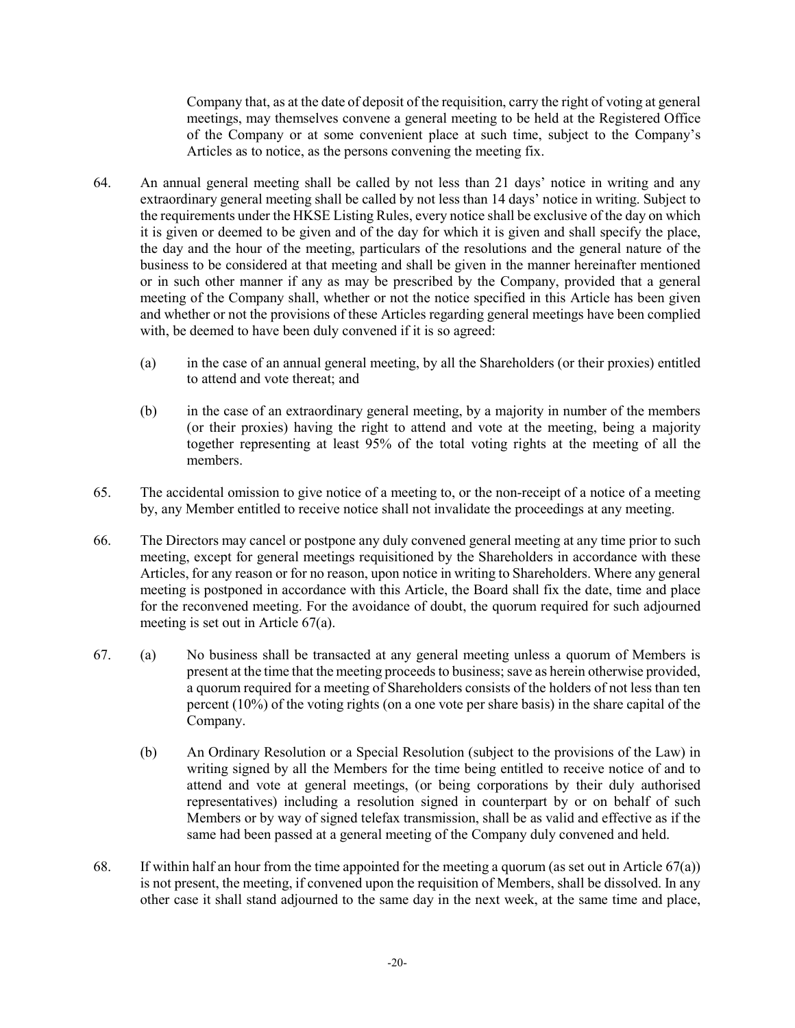Company that, as at the date of deposit of the requisition, carry the right of voting at general meetings, may themselves convene a general meeting to be held at the Registered Office of the Company or at some convenient place at such time, subject to the Company's Articles as to notice, as the persons convening the meeting fix.

- 64. An annual general meeting shall be called by not less than 21 days' notice in writing and any extraordinary general meeting shall be called by not less than 14 days' notice in writing. Subject to the requirements under the HKSE Listing Rules, every notice shall be exclusive of the day on which it is given or deemed to be given and of the day for which it is given and shall specify the place, the day and the hour of the meeting, particulars of the resolutions and the general nature of the business to be considered at that meeting and shall be given in the manner hereinafter mentioned or in such other manner if any as may be prescribed by the Company, provided that a general meeting of the Company shall, whether or not the notice specified in this Article has been given and whether or not the provisions of these Articles regarding general meetings have been complied with, be deemed to have been duly convened if it is so agreed:
	- (a) in the case of an annual general meeting, by all the Shareholders (or their proxies) entitled to attend and vote thereat; and
	- (b) in the case of an extraordinary general meeting, by a majority in number of the members (or their proxies) having the right to attend and vote at the meeting, being a majority together representing at least 95% of the total voting rights at the meeting of all the members.
- 65. The accidental omission to give notice of a meeting to, or the non-receipt of a notice of a meeting by, any Member entitled to receive notice shall not invalidate the proceedings at any meeting.
- 66. The Directors may cancel or postpone any duly convened general meeting at any time prior to such meeting, except for general meetings requisitioned by the Shareholders in accordance with these Articles, for any reason or for no reason, upon notice in writing to Shareholders. Where any general meeting is postponed in accordance with this Article, the Board shall fix the date, time and place for the reconvened meeting. For the avoidance of doubt, the quorum required for such adjourned meeting is set out in Article 67(a).
- 67. (a) No business shall be transacted at any general meeting unless a quorum of Members is present at the time that the meeting proceeds to business; save as herein otherwise provided, a quorum required for a meeting of Shareholders consists of the holders of not less than ten percent  $(10\%)$  of the voting rights (on a one vote per share basis) in the share capital of the Company.
	- (b) An Ordinary Resolution or a Special Resolution (subject to the provisions of the Law) in writing signed by all the Members for the time being entitled to receive notice of and to attend and vote at general meetings, (or being corporations by their duly authorised representatives) including a resolution signed in counterpart by or on behalf of such Members or by way of signed telefax transmission, shall be as valid and effective as if the same had been passed at a general meeting of the Company duly convened and held.
- 68. If within half an hour from the time appointed for the meeting a quorum (as set out in Article  $67(a)$ ) is not present, the meeting, if convened upon the requisition of Members, shall be dissolved. In any other case it shall stand adjourned to the same day in the next week, at the same time and place,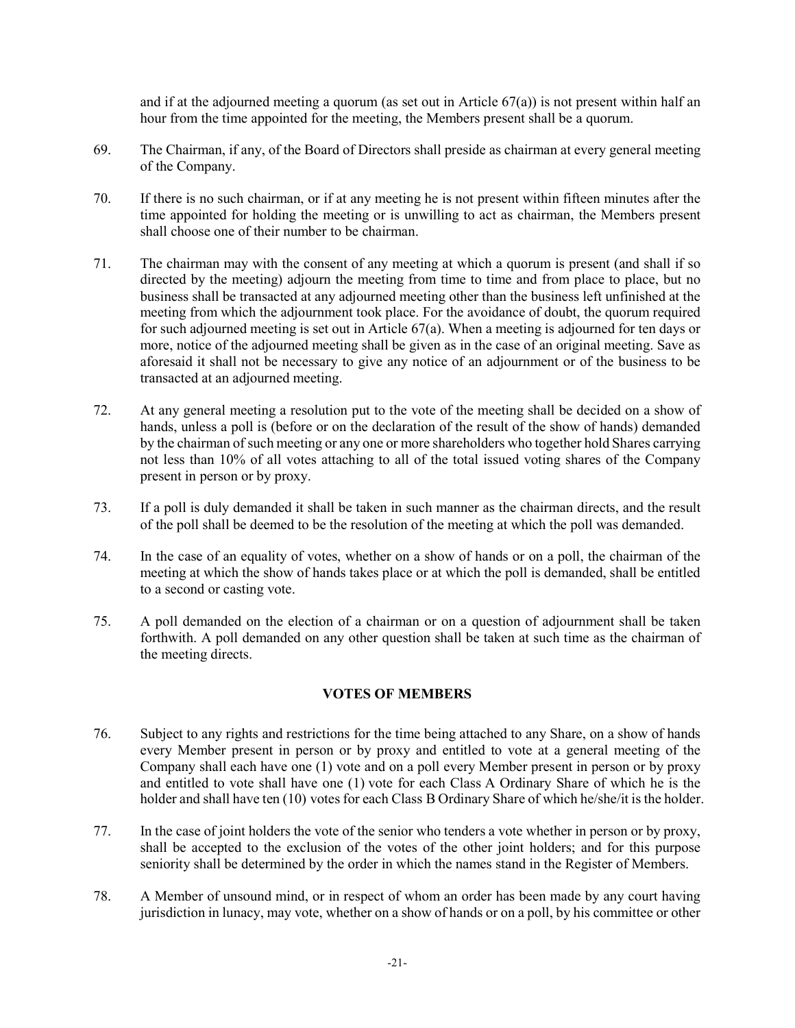and if at the adjourned meeting a quorum (as set out in Article  $67(a)$ ) is not present within half an hour from the time appointed for the meeting, the Members present shall be a quorum.

- 69. The Chairman, if any, of the Board of Directors shall preside as chairman at every general meeting of the Company.
- 70. If there is no such chairman, or if at any meeting he is not present within fifteen minutes after the time appointed for holding the meeting or is unwilling to act as chairman, the Members present shall choose one of their number to be chairman.
- 71. The chairman may with the consent of any meeting at which a quorum is present (and shall if so directed by the meeting) adjourn the meeting from time to time and from place to place, but no business shall be transacted at any adjourned meeting other than the business left unfinished at the meeting from which the adjournment took place. For the avoidance of doubt, the quorum required for such adjourned meeting is set out in Article 67(a). When a meeting is adjourned for ten days or more, notice of the adjourned meeting shall be given as in the case of an original meeting. Save as aforesaid it shall not be necessary to give any notice of an adjournment or of the business to be transacted at an adjourned meeting.
- 72. At any general meeting a resolution put to the vote of the meeting shall be decided on a show of hands, unless a poll is (before or on the declaration of the result of the show of hands) demanded by the chairman of such meeting or any one or more shareholders who together hold Shares carrying not less than 10% of all votes attaching to all of the total issued voting shares of the Company present in person or by proxy.
- 73. If a poll is duly demanded it shall be taken in such manner as the chairman directs, and the result of the poll shall be deemed to be the resolution of the meeting at which the poll was demanded.
- 74. In the case of an equality of votes, whether on a show of hands or on a poll, the chairman of the meeting at which the show of hands takes place or at which the poll is demanded, shall be entitled to a second or casting vote.
- 75. A poll demanded on the election of a chairman or on a question of adjournment shall be taken forthwith. A poll demanded on any other question shall be taken at such time as the chairman of the meeting directs.

# VOTES OF MEMBERS

- 76. Subject to any rights and restrictions for the time being attached to any Share, on a show of hands every Member present in person or by proxy and entitled to vote at a general meeting of the Company shall each have one (1) vote and on a poll every Member present in person or by proxy and entitled to vote shall have one (1) vote for each Class A Ordinary Share of which he is the holder and shall have ten (10) votes for each Class B Ordinary Share of which he/she/it is the holder.
- 77. In the case of joint holders the vote of the senior who tenders a vote whether in person or by proxy, shall be accepted to the exclusion of the votes of the other joint holders; and for this purpose seniority shall be determined by the order in which the names stand in the Register of Members.
- 78. A Member of unsound mind, or in respect of whom an order has been made by any court having jurisdiction in lunacy, may vote, whether on a show of hands or on a poll, by his committee or other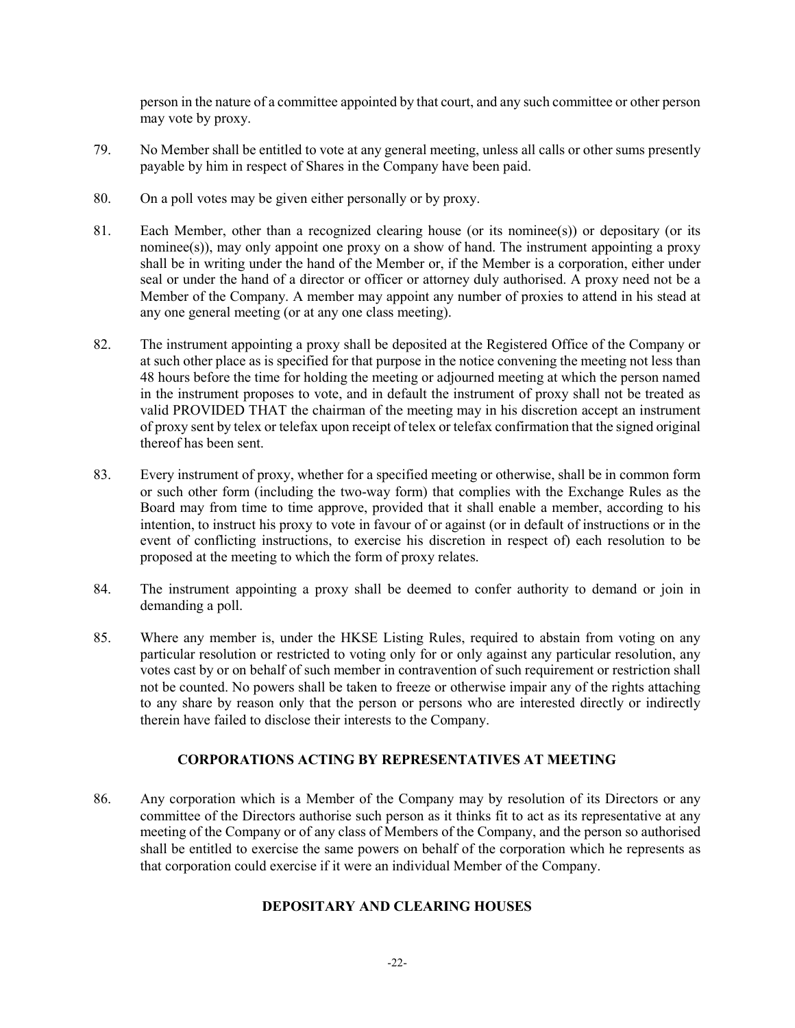person in the nature of a committee appointed by that court, and any such committee or other person may vote by proxy.

- 79. No Member shall be entitled to vote at any general meeting, unless all calls or other sums presently payable by him in respect of Shares in the Company have been paid.
- 80. On a poll votes may be given either personally or by proxy.
- 81. Each Member, other than a recognized clearing house (or its nominee(s)) or depositary (or its nominee(s)), may only appoint one proxy on a show of hand. The instrument appointing a proxy shall be in writing under the hand of the Member or, if the Member is a corporation, either under seal or under the hand of a director or officer or attorney duly authorised. A proxy need not be a Member of the Company. A member may appoint any number of proxies to attend in his stead at any one general meeting (or at any one class meeting).
- 82. The instrument appointing a proxy shall be deposited at the Registered Office of the Company or at such other place as is specified for that purpose in the notice convening the meeting not less than 48 hours before the time for holding the meeting or adjourned meeting at which the person named in the instrument proposes to vote, and in default the instrument of proxy shall not be treated as valid PROVIDED THAT the chairman of the meeting may in his discretion accept an instrument of proxy sent by telex or telefax upon receipt of telex or telefax confirmation that the signed original thereof has been sent.
- 83. Every instrument of proxy, whether for a specified meeting or otherwise, shall be in common form or such other form (including the two-way form) that complies with the Exchange Rules as the Board may from time to time approve, provided that it shall enable a member, according to his intention, to instruct his proxy to vote in favour of or against (or in default of instructions or in the event of conflicting instructions, to exercise his discretion in respect of) each resolution to be proposed at the meeting to which the form of proxy relates.
- 84. The instrument appointing a proxy shall be deemed to confer authority to demand or join in demanding a poll.
- 85. Where any member is, under the HKSE Listing Rules, required to abstain from voting on any particular resolution or restricted to voting only for or only against any particular resolution, any votes cast by or on behalf of such member in contravention of such requirement or restriction shall not be counted. No powers shall be taken to freeze or otherwise impair any of the rights attaching to any share by reason only that the person or persons who are interested directly or indirectly therein have failed to disclose their interests to the Company.

# CORPORATIONS ACTING BY REPRESENTATIVES AT MEETING

86. Any corporation which is a Member of the Company may by resolution of its Directors or any committee of the Directors authorise such person as it thinks fit to act as its representative at any meeting of the Company or of any class of Members of the Company, and the person so authorised shall be entitled to exercise the same powers on behalf of the corporation which he represents as that corporation could exercise if it were an individual Member of the Company.

# DEPOSITARY AND CLEARING HOUSES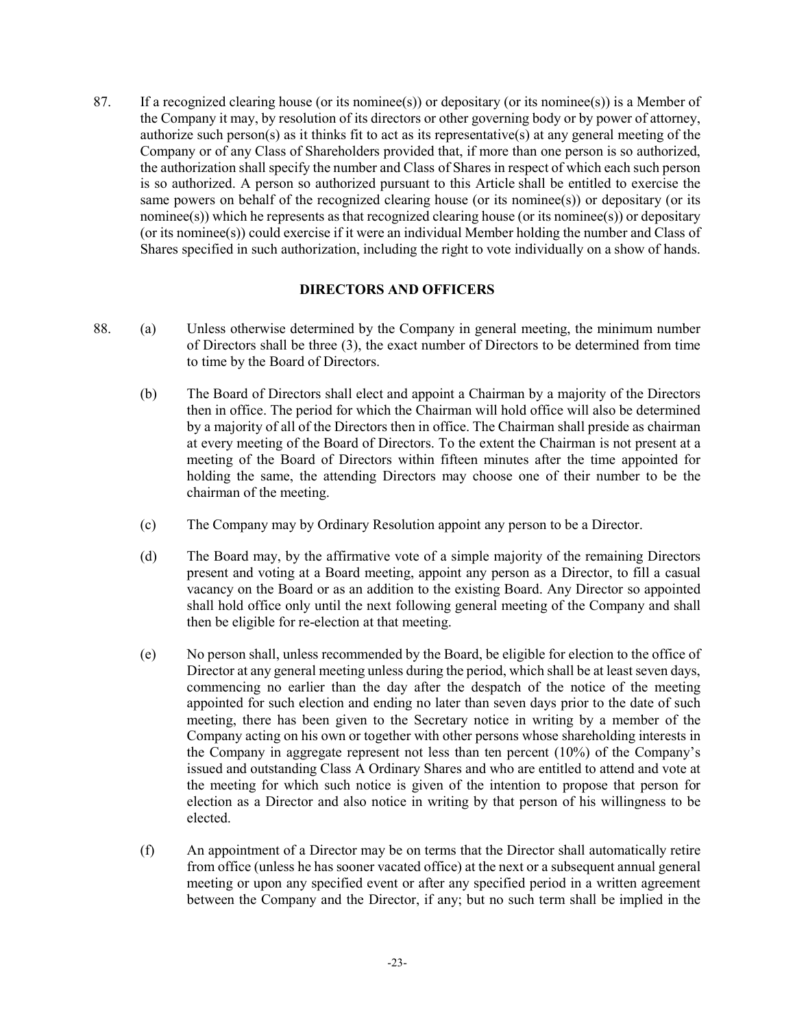87. If a recognized clearing house (or its nominee(s)) or depositary (or its nominee(s)) is a Member of the Company it may, by resolution of its directors or other governing body or by power of attorney, authorize such person(s) as it thinks fit to act as its representative(s) at any general meeting of the Company or of any Class of Shareholders provided that, if more than one person is so authorized, the authorization shall specify the number and Class of Shares in respect of which each such person is so authorized. A person so authorized pursuant to this Article shall be entitled to exercise the same powers on behalf of the recognized clearing house (or its nominee(s)) or depositary (or its nominee(s)) which he represents as that recognized clearing house (or its nominee(s)) or depositary (or its nominee(s)) could exercise if it were an individual Member holding the number and Class of Shares specified in such authorization, including the right to vote individually on a show of hands.

# DIRECTORS AND OFFICERS

- 88. (a) Unless otherwise determined by the Company in general meeting, the minimum number of Directors shall be three (3), the exact number of Directors to be determined from time to time by the Board of Directors.
	- (b) The Board of Directors shall elect and appoint a Chairman by a majority of the Directors then in office. The period for which the Chairman will hold office will also be determined by a majority of all of the Directors then in office. The Chairman shall preside as chairman at every meeting of the Board of Directors. To the extent the Chairman is not present at a meeting of the Board of Directors within fifteen minutes after the time appointed for holding the same, the attending Directors may choose one of their number to be the chairman of the meeting.
	- (c) The Company may by Ordinary Resolution appoint any person to be a Director.
	- (d) The Board may, by the affirmative vote of a simple majority of the remaining Directors present and voting at a Board meeting, appoint any person as a Director, to fill a casual vacancy on the Board or as an addition to the existing Board. Any Director so appointed shall hold office only until the next following general meeting of the Company and shall then be eligible for re-election at that meeting.
	- (e) No person shall, unless recommended by the Board, be eligible for election to the office of Director at any general meeting unless during the period, which shall be at least seven days, commencing no earlier than the day after the despatch of the notice of the meeting appointed for such election and ending no later than seven days prior to the date of such meeting, there has been given to the Secretary notice in writing by a member of the Company acting on his own or together with other persons whose shareholding interests in the Company in aggregate represent not less than ten percent (10%) of the Company's issued and outstanding Class A Ordinary Shares and who are entitled to attend and vote at the meeting for which such notice is given of the intention to propose that person for election as a Director and also notice in writing by that person of his willingness to be elected.
	- (f) An appointment of a Director may be on terms that the Director shall automatically retire from office (unless he has sooner vacated office) at the next or a subsequent annual general meeting or upon any specified event or after any specified period in a written agreement between the Company and the Director, if any; but no such term shall be implied in the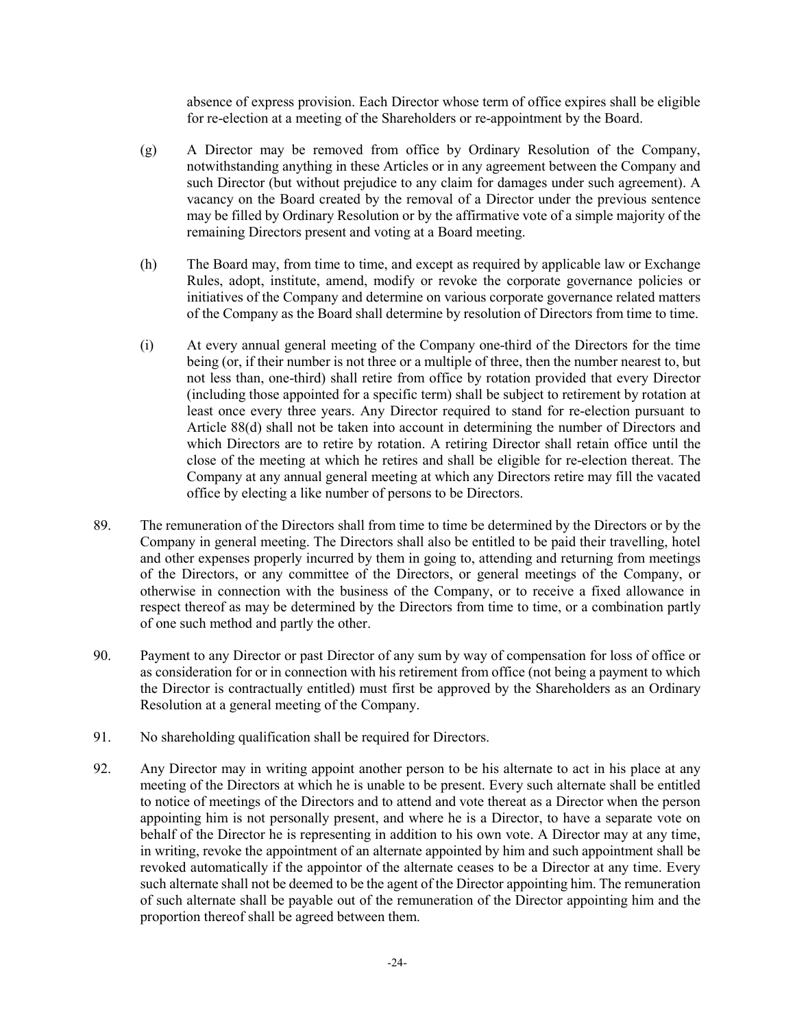absence of express provision. Each Director whose term of office expires shall be eligible for re-election at a meeting of the Shareholders or re-appointment by the Board.

- (g) A Director may be removed from office by Ordinary Resolution of the Company, notwithstanding anything in these Articles or in any agreement between the Company and such Director (but without prejudice to any claim for damages under such agreement). A vacancy on the Board created by the removal of a Director under the previous sentence may be filled by Ordinary Resolution or by the affirmative vote of a simple majority of the remaining Directors present and voting at a Board meeting.
- (h) The Board may, from time to time, and except as required by applicable law or Exchange Rules, adopt, institute, amend, modify or revoke the corporate governance policies or initiatives of the Company and determine on various corporate governance related matters of the Company as the Board shall determine by resolution of Directors from time to time.
- (i) At every annual general meeting of the Company one-third of the Directors for the time being (or, if their number is not three or a multiple of three, then the number nearest to, but not less than, one-third) shall retire from office by rotation provided that every Director (including those appointed for a specific term) shall be subject to retirement by rotation at least once every three years. Any Director required to stand for re-election pursuant to Article 88(d) shall not be taken into account in determining the number of Directors and which Directors are to retire by rotation. A retiring Director shall retain office until the close of the meeting at which he retires and shall be eligible for re-election thereat. The Company at any annual general meeting at which any Directors retire may fill the vacated office by electing a like number of persons to be Directors.
- 89. The remuneration of the Directors shall from time to time be determined by the Directors or by the Company in general meeting. The Directors shall also be entitled to be paid their travelling, hotel and other expenses properly incurred by them in going to, attending and returning from meetings of the Directors, or any committee of the Directors, or general meetings of the Company, or otherwise in connection with the business of the Company, or to receive a fixed allowance in respect thereof as may be determined by the Directors from time to time, or a combination partly of one such method and partly the other.
- 90. Payment to any Director or past Director of any sum by way of compensation for loss of office or as consideration for or in connection with his retirement from office (not being a payment to which the Director is contractually entitled) must first be approved by the Shareholders as an Ordinary Resolution at a general meeting of the Company.
- 91. No shareholding qualification shall be required for Directors.
- 92. Any Director may in writing appoint another person to be his alternate to act in his place at any meeting of the Directors at which he is unable to be present. Every such alternate shall be entitled to notice of meetings of the Directors and to attend and vote thereat as a Director when the person appointing him is not personally present, and where he is a Director, to have a separate vote on behalf of the Director he is representing in addition to his own vote. A Director may at any time, in writing, revoke the appointment of an alternate appointed by him and such appointment shall be revoked automatically if the appointor of the alternate ceases to be a Director at any time. Every such alternate shall not be deemed to be the agent of the Director appointing him. The remuneration of such alternate shall be payable out of the remuneration of the Director appointing him and the proportion thereof shall be agreed between them.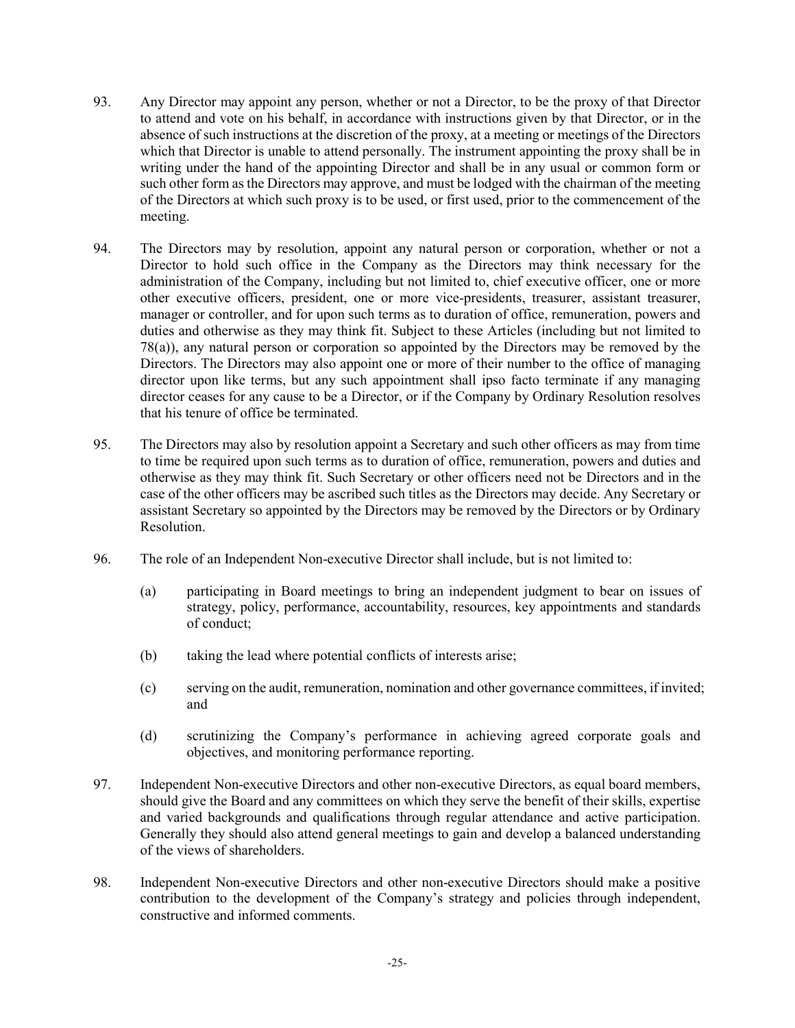- 93. Any Director may appoint any person, whether or not a Director, to be the proxy of that Director to attend and vote on his behalf, in accordance with instructions given by that Director, or in the absence of such instructions at the discretion of the proxy, at a meeting or meetings of the Directors which that Director is unable to attend personally. The instrument appointing the proxy shall be in writing under the hand of the appointing Director and shall be in any usual or common form or such other form as the Directors may approve, and must be lodged with the chairman of the meeting of the Directors at which such proxy is to be used, or first used, prior to the commencement of the meeting.
- 94. The Directors may by resolution, appoint any natural person or corporation, whether or not a Director to hold such office in the Company as the Directors may think necessary for the administration of the Company, including but not limited to, chief executive officer, one or more other executive officers, president, one or more vice-presidents, treasurer, assistant treasurer, manager or controller, and for upon such terms as to duration of office, remuneration, powers and duties and otherwise as they may think fit. Subject to these Articles (including but not limited to 78(a)), any natural person or corporation so appointed by the Directors may be removed by the Directors. The Directors may also appoint one or more of their number to the office of managing director upon like terms, but any such appointment shall ipso facto terminate if any managing director ceases for any cause to be a Director, or if the Company by Ordinary Resolution resolves that his tenure of office be terminated.
- 95. The Directors may also by resolution appoint a Secretary and such other officers as may from time to time be required upon such terms as to duration of office, remuneration, powers and duties and otherwise as they may think fit. Such Secretary or other officers need not be Directors and in the case of the other officers may be ascribed such titles as the Directors may decide. Any Secretary or assistant Secretary so appointed by the Directors may be removed by the Directors or by Ordinary Resolution.
- 96. The role of an Independent Non-executive Director shall include, but is not limited to:
	- (a) participating in Board meetings to bring an independent judgment to bear on issues of strategy, policy, performance, accountability, resources, key appointments and standards of conduct;
	- (b) taking the lead where potential conflicts of interests arise;
	- (c) serving on the audit, remuneration, nomination and other governance committees, if invited; and
	- (d) scrutinizing the Company's performance in achieving agreed corporate goals and objectives, and monitoring performance reporting.
- 97. Independent Non-executive Directors and other non-executive Directors, as equal board members, should give the Board and any committees on which they serve the benefit of their skills, expertise and varied backgrounds and qualifications through regular attendance and active participation. Generally they should also attend general meetings to gain and develop a balanced understanding of the views of shareholders.
- 98. Independent Non-executive Directors and other non-executive Directors should make a positive contribution to the development of the Company's strategy and policies through independent, constructive and informed comments.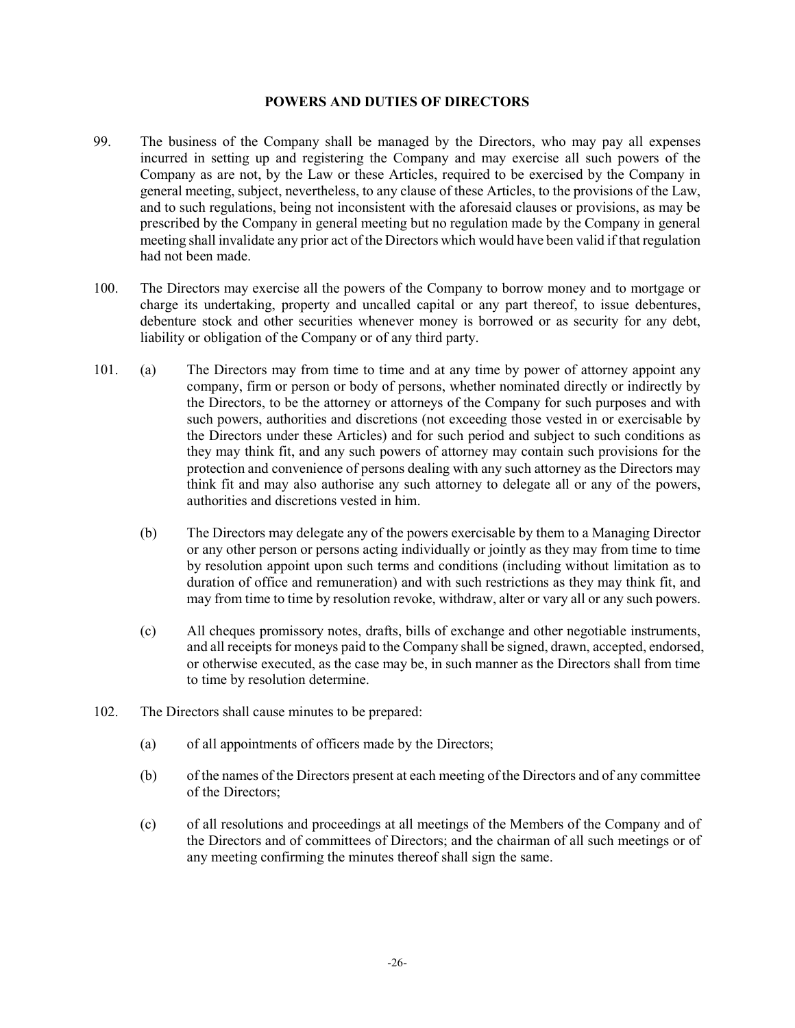#### POWERS AND DUTIES OF DIRECTORS

- 99. The business of the Company shall be managed by the Directors, who may pay all expenses incurred in setting up and registering the Company and may exercise all such powers of the Company as are not, by the Law or these Articles, required to be exercised by the Company in general meeting, subject, nevertheless, to any clause of these Articles, to the provisions of the Law, and to such regulations, being not inconsistent with the aforesaid clauses or provisions, as may be prescribed by the Company in general meeting but no regulation made by the Company in general meeting shall invalidate any prior act of the Directors which would have been valid if that regulation had not been made.
- 100. The Directors may exercise all the powers of the Company to borrow money and to mortgage or charge its undertaking, property and uncalled capital or any part thereof, to issue debentures, debenture stock and other securities whenever money is borrowed or as security for any debt, liability or obligation of the Company or of any third party.
- 101. (a) The Directors may from time to time and at any time by power of attorney appoint any company, firm or person or body of persons, whether nominated directly or indirectly by the Directors, to be the attorney or attorneys of the Company for such purposes and with such powers, authorities and discretions (not exceeding those vested in or exercisable by the Directors under these Articles) and for such period and subject to such conditions as they may think fit, and any such powers of attorney may contain such provisions for the protection and convenience of persons dealing with any such attorney as the Directors may think fit and may also authorise any such attorney to delegate all or any of the powers, authorities and discretions vested in him.
	- (b) The Directors may delegate any of the powers exercisable by them to a Managing Director or any other person or persons acting individually or jointly as they may from time to time by resolution appoint upon such terms and conditions (including without limitation as to duration of office and remuneration) and with such restrictions as they may think fit, and may from time to time by resolution revoke, withdraw, alter or vary all or any such powers.
	- (c) All cheques promissory notes, drafts, bills of exchange and other negotiable instruments, and all receipts for moneys paid to the Company shall be signed, drawn, accepted, endorsed, or otherwise executed, as the case may be, in such manner as the Directors shall from time to time by resolution determine.
- 102. The Directors shall cause minutes to be prepared:
	- (a) of all appointments of officers made by the Directors;
	- (b) of the names of the Directors present at each meeting of the Directors and of any committee of the Directors;
	- (c) of all resolutions and proceedings at all meetings of the Members of the Company and of the Directors and of committees of Directors; and the chairman of all such meetings or of any meeting confirming the minutes thereof shall sign the same.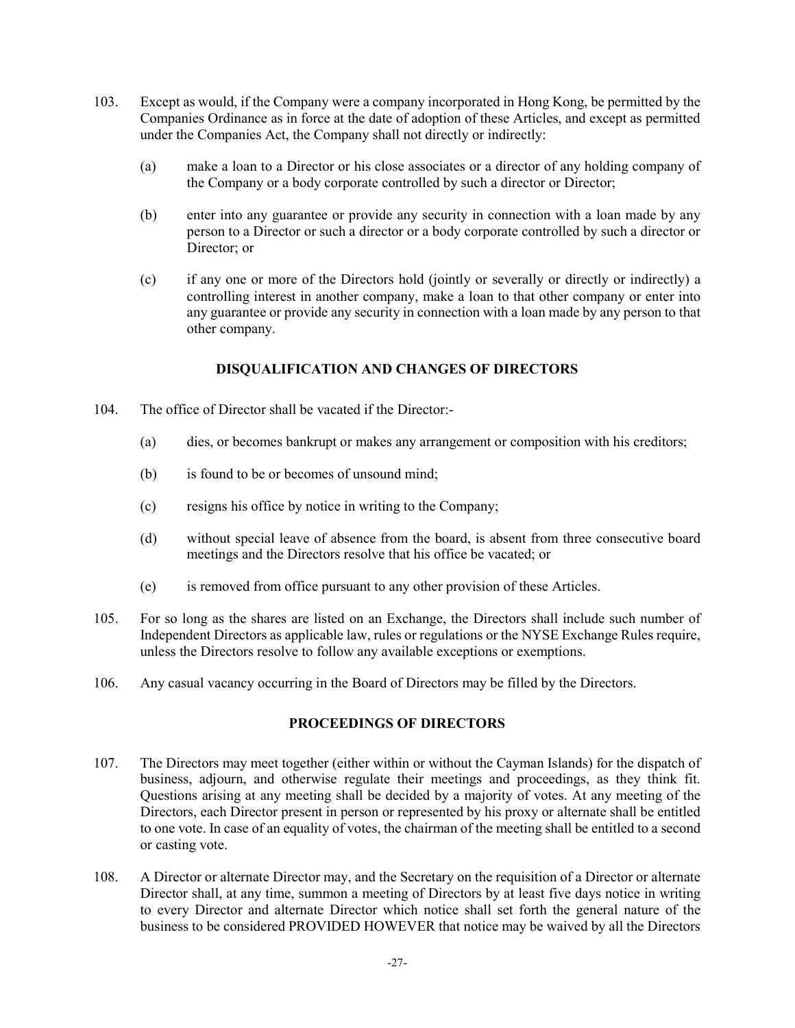- 103. Except as would, if the Company were a company incorporated in Hong Kong, be permitted by the Companies Ordinance as in force at the date of adoption of these Articles, and except as permitted under the Companies Act, the Company shall not directly or indirectly:
	- (a) make a loan to a Director or his close associates or a director of any holding company of the Company or a body corporate controlled by such a director or Director;
	- (b) enter into any guarantee or provide any security in connection with a loan made by any person to a Director or such a director or a body corporate controlled by such a director or Director: or
	- (c) if any one or more of the Directors hold (jointly or severally or directly or indirectly) a controlling interest in another company, make a loan to that other company or enter into any guarantee or provide any security in connection with a loan made by any person to that other company.

# DISQUALIFICATION AND CHANGES OF DIRECTORS

- 104. The office of Director shall be vacated if the Director:-
	- (a) dies, or becomes bankrupt or makes any arrangement or composition with his creditors;
	- (b) is found to be or becomes of unsound mind;
	- (c) resigns his office by notice in writing to the Company;
	- (d) without special leave of absence from the board, is absent from three consecutive board meetings and the Directors resolve that his office be vacated; or
	- (e) is removed from office pursuant to any other provision of these Articles.
- 105. For so long as the shares are listed on an Exchange, the Directors shall include such number of Independent Directors as applicable law, rules or regulations or the NYSE Exchange Rules require, unless the Directors resolve to follow any available exceptions or exemptions.
- 106. Any casual vacancy occurring in the Board of Directors may be filled by the Directors.

# PROCEEDINGS OF DIRECTORS

- 107. The Directors may meet together (either within or without the Cayman Islands) for the dispatch of business, adjourn, and otherwise regulate their meetings and proceedings, as they think fit. Questions arising at any meeting shall be decided by a majority of votes. At any meeting of the Directors, each Director present in person or represented by his proxy or alternate shall be entitled to one vote. In case of an equality of votes, the chairman of the meeting shall be entitled to a second or casting vote.
- 108. A Director or alternate Director may, and the Secretary on the requisition of a Director or alternate Director shall, at any time, summon a meeting of Directors by at least five days notice in writing to every Director and alternate Director which notice shall set forth the general nature of the business to be considered PROVIDED HOWEVER that notice may be waived by all the Directors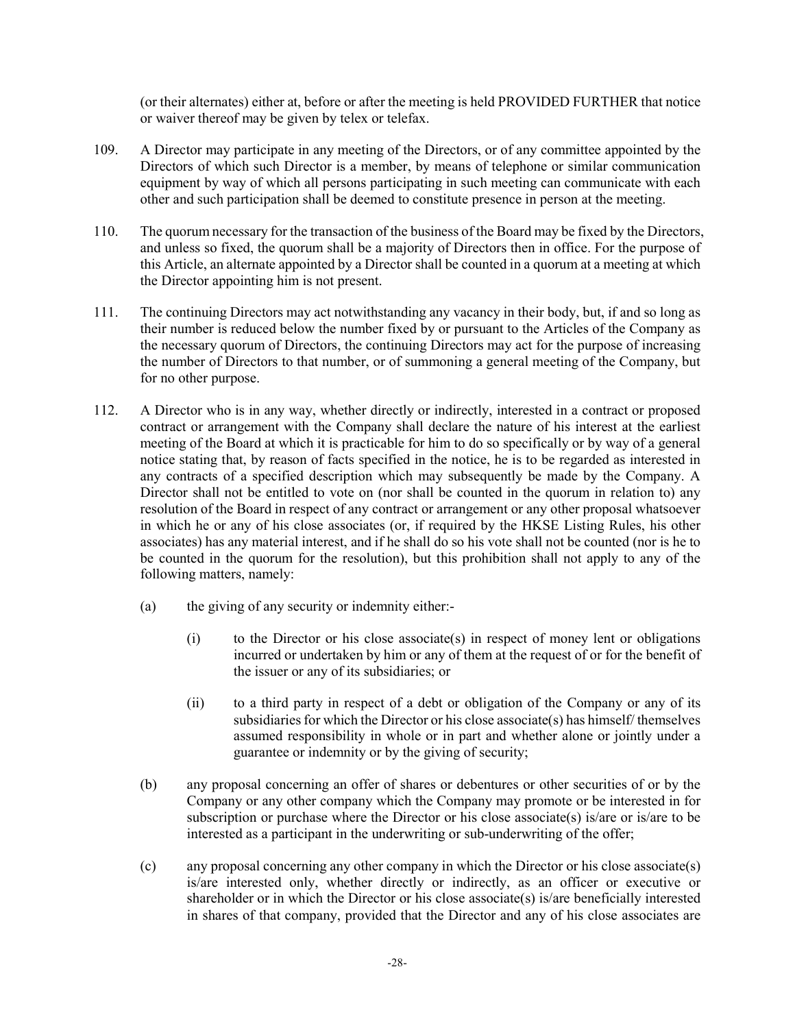(or their alternates) either at, before or after the meeting is held PROVIDED FURTHER that notice or waiver thereof may be given by telex or telefax.

- 109. A Director may participate in any meeting of the Directors, or of any committee appointed by the Directors of which such Director is a member, by means of telephone or similar communication equipment by way of which all persons participating in such meeting can communicate with each other and such participation shall be deemed to constitute presence in person at the meeting.
- 110. The quorum necessary for the transaction of the business of the Board may be fixed by the Directors, and unless so fixed, the quorum shall be a majority of Directors then in office. For the purpose of this Article, an alternate appointed by a Director shall be counted in a quorum at a meeting at which the Director appointing him is not present.
- 111. The continuing Directors may act notwithstanding any vacancy in their body, but, if and so long as their number is reduced below the number fixed by or pursuant to the Articles of the Company as the necessary quorum of Directors, the continuing Directors may act for the purpose of increasing the number of Directors to that number, or of summoning a general meeting of the Company, but for no other purpose.
- 112. A Director who is in any way, whether directly or indirectly, interested in a contract or proposed contract or arrangement with the Company shall declare the nature of his interest at the earliest meeting of the Board at which it is practicable for him to do so specifically or by way of a general notice stating that, by reason of facts specified in the notice, he is to be regarded as interested in any contracts of a specified description which may subsequently be made by the Company. A Director shall not be entitled to vote on (nor shall be counted in the quorum in relation to) any resolution of the Board in respect of any contract or arrangement or any other proposal whatsoever in which he or any of his close associates (or, if required by the HKSE Listing Rules, his other associates) has any material interest, and if he shall do so his vote shall not be counted (nor is he to be counted in the quorum for the resolution), but this prohibition shall not apply to any of the following matters, namely:
	- (a) the giving of any security or indemnity either:-
		- (i) to the Director or his close associate(s) in respect of money lent or obligations incurred or undertaken by him or any of them at the request of or for the benefit of the issuer or any of its subsidiaries; or
		- (ii) to a third party in respect of a debt or obligation of the Company or any of its subsidiaries for which the Director or his close associate(s) has himself/ themselves assumed responsibility in whole or in part and whether alone or jointly under a guarantee or indemnity or by the giving of security;
	- (b) any proposal concerning an offer of shares or debentures or other securities of or by the Company or any other company which the Company may promote or be interested in for subscription or purchase where the Director or his close associate(s) is/are or is/are to be interested as a participant in the underwriting or sub-underwriting of the offer;
	- (c) any proposal concerning any other company in which the Director or his close associate(s) is/are interested only, whether directly or indirectly, as an officer or executive or shareholder or in which the Director or his close associate(s) is/are beneficially interested in shares of that company, provided that the Director and any of his close associates are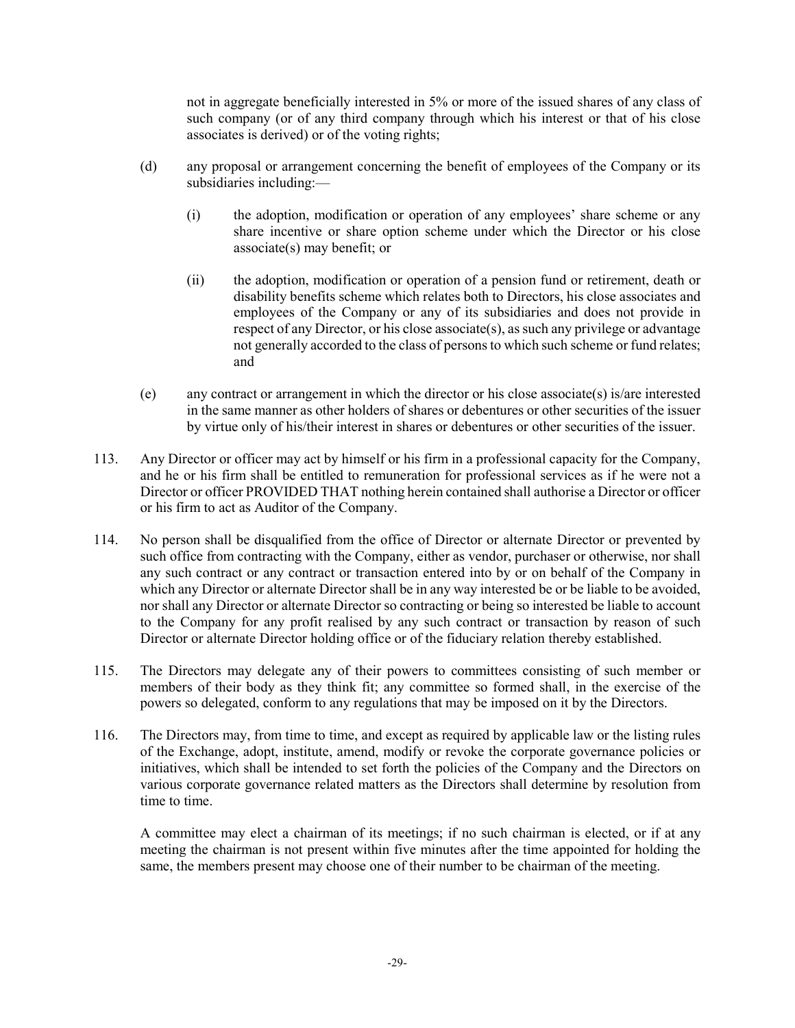not in aggregate beneficially interested in 5% or more of the issued shares of any class of such company (or of any third company through which his interest or that of his close associates is derived) or of the voting rights;

- (d) any proposal or arrangement concerning the benefit of employees of the Company or its subsidiaries including:—
	- (i) the adoption, modification or operation of any employees' share scheme or any share incentive or share option scheme under which the Director or his close associate(s) may benefit; or
	- (ii) the adoption, modification or operation of a pension fund or retirement, death or disability benefits scheme which relates both to Directors, his close associates and employees of the Company or any of its subsidiaries and does not provide in respect of any Director, or his close associate(s), as such any privilege or advantage not generally accorded to the class of persons to which such scheme or fund relates; and
- (e) any contract or arrangement in which the director or his close associate(s) is/are interested in the same manner as other holders of shares or debentures or other securities of the issuer by virtue only of his/their interest in shares or debentures or other securities of the issuer.
- 113. Any Director or officer may act by himself or his firm in a professional capacity for the Company, and he or his firm shall be entitled to remuneration for professional services as if he were not a Director or officer PROVIDED THAT nothing herein contained shall authorise a Director or officer or his firm to act as Auditor of the Company.
- 114. No person shall be disqualified from the office of Director or alternate Director or prevented by such office from contracting with the Company, either as vendor, purchaser or otherwise, nor shall any such contract or any contract or transaction entered into by or on behalf of the Company in which any Director or alternate Director shall be in any way interested be or be liable to be avoided, nor shall any Director or alternate Director so contracting or being so interested be liable to account to the Company for any profit realised by any such contract or transaction by reason of such Director or alternate Director holding office or of the fiduciary relation thereby established.
- 115. The Directors may delegate any of their powers to committees consisting of such member or members of their body as they think fit; any committee so formed shall, in the exercise of the powers so delegated, conform to any regulations that may be imposed on it by the Directors.
- 116. The Directors may, from time to time, and except as required by applicable law or the listing rules of the Exchange, adopt, institute, amend, modify or revoke the corporate governance policies or initiatives, which shall be intended to set forth the policies of the Company and the Directors on various corporate governance related matters as the Directors shall determine by resolution from time to time.

A committee may elect a chairman of its meetings; if no such chairman is elected, or if at any meeting the chairman is not present within five minutes after the time appointed for holding the same, the members present may choose one of their number to be chairman of the meeting.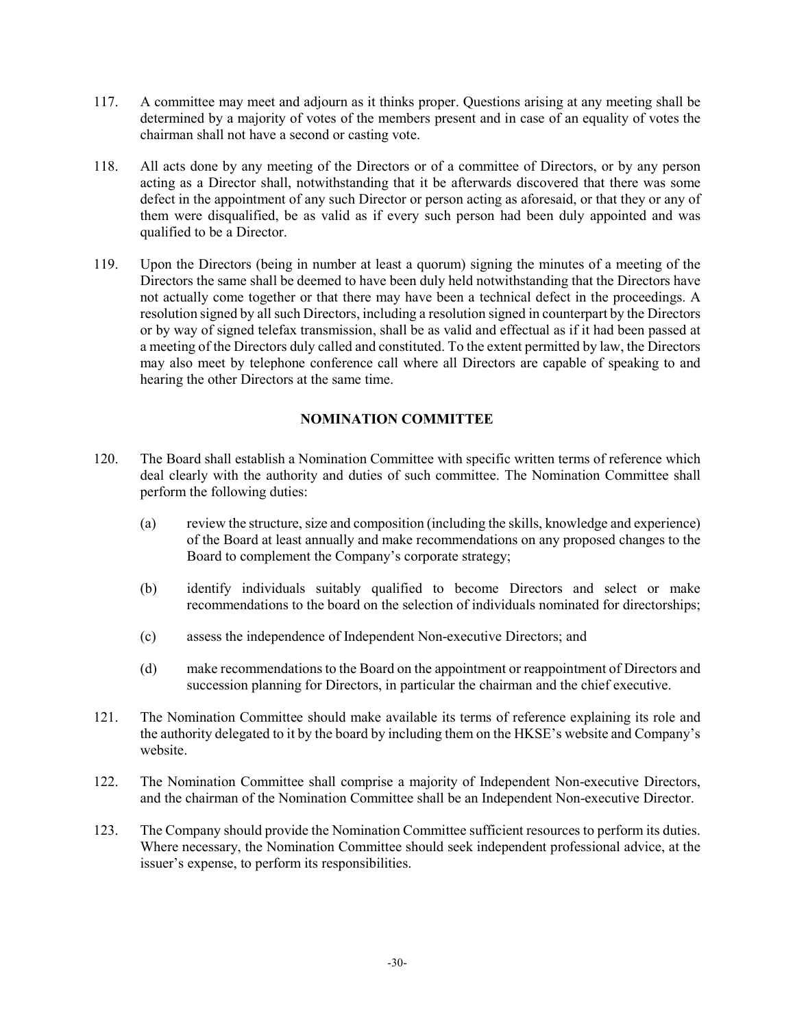- 117. A committee may meet and adjourn as it thinks proper. Questions arising at any meeting shall be determined by a majority of votes of the members present and in case of an equality of votes the chairman shall not have a second or casting vote.
- 118. All acts done by any meeting of the Directors or of a committee of Directors, or by any person acting as a Director shall, notwithstanding that it be afterwards discovered that there was some defect in the appointment of any such Director or person acting as aforesaid, or that they or any of them were disqualified, be as valid as if every such person had been duly appointed and was qualified to be a Director.
- 119. Upon the Directors (being in number at least a quorum) signing the minutes of a meeting of the Directors the same shall be deemed to have been duly held notwithstanding that the Directors have not actually come together or that there may have been a technical defect in the proceedings. A resolution signed by all such Directors, including a resolution signed in counterpart by the Directors or by way of signed telefax transmission, shall be as valid and effectual as if it had been passed at a meeting of the Directors duly called and constituted. To the extent permitted by law, the Directors may also meet by telephone conference call where all Directors are capable of speaking to and hearing the other Directors at the same time.

# NOMINATION COMMITTEE

- 120. The Board shall establish a Nomination Committee with specific written terms of reference which deal clearly with the authority and duties of such committee. The Nomination Committee shall perform the following duties:
	- (a) review the structure, size and composition (including the skills, knowledge and experience) of the Board at least annually and make recommendations on any proposed changes to the Board to complement the Company's corporate strategy;
	- (b) identify individuals suitably qualified to become Directors and select or make recommendations to the board on the selection of individuals nominated for directorships;
	- (c) assess the independence of Independent Non-executive Directors; and
	- (d) make recommendations to the Board on the appointment or reappointment of Directors and succession planning for Directors, in particular the chairman and the chief executive.
- 121. The Nomination Committee should make available its terms of reference explaining its role and the authority delegated to it by the board by including them on the HKSE's website and Company's website.
- 122. The Nomination Committee shall comprise a majority of Independent Non-executive Directors, and the chairman of the Nomination Committee shall be an Independent Non-executive Director.
- 123. The Company should provide the Nomination Committee sufficient resources to perform its duties. Where necessary, the Nomination Committee should seek independent professional advice, at the issuer's expense, to perform its responsibilities.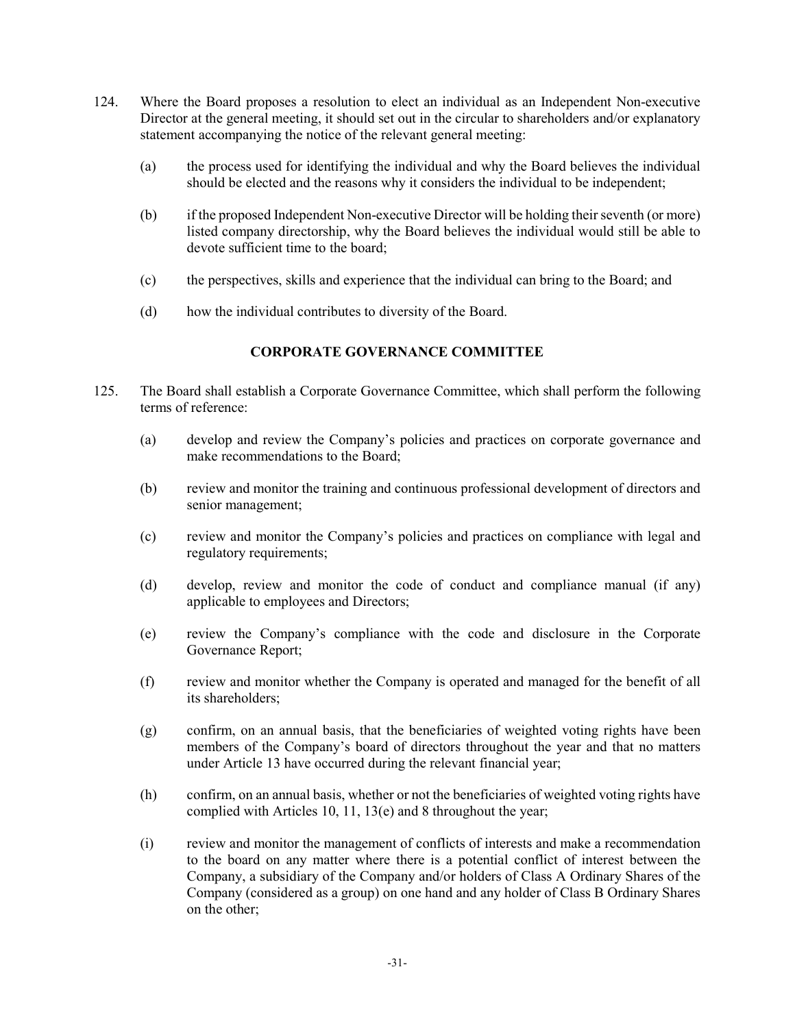- 124. Where the Board proposes a resolution to elect an individual as an Independent Non-executive Director at the general meeting, it should set out in the circular to shareholders and/or explanatory statement accompanying the notice of the relevant general meeting:
	- (a) the process used for identifying the individual and why the Board believes the individual should be elected and the reasons why it considers the individual to be independent;
	- (b) if the proposed Independent Non-executive Director will be holding their seventh (or more) listed company directorship, why the Board believes the individual would still be able to devote sufficient time to the board;
	- (c) the perspectives, skills and experience that the individual can bring to the Board; and
	- (d) how the individual contributes to diversity of the Board.

# CORPORATE GOVERNANCE COMMITTEE

- 125. The Board shall establish a Corporate Governance Committee, which shall perform the following terms of reference:
	- (a) develop and review the Company's policies and practices on corporate governance and make recommendations to the Board;
	- (b) review and monitor the training and continuous professional development of directors and senior management;
	- (c) review and monitor the Company's policies and practices on compliance with legal and regulatory requirements;
	- (d) develop, review and monitor the code of conduct and compliance manual (if any) applicable to employees and Directors;
	- (e) review the Company's compliance with the code and disclosure in the Corporate Governance Report;
	- (f) review and monitor whether the Company is operated and managed for the benefit of all its shareholders;
	- (g) confirm, on an annual basis, that the beneficiaries of weighted voting rights have been members of the Company's board of directors throughout the year and that no matters under Article 13 have occurred during the relevant financial year;
	- (h) confirm, on an annual basis, whether or not the beneficiaries of weighted voting rights have complied with Articles 10, 11, 13(e) and 8 throughout the year;
	- (i) review and monitor the management of conflicts of interests and make a recommendation to the board on any matter where there is a potential conflict of interest between the Company, a subsidiary of the Company and/or holders of Class A Ordinary Shares of the Company (considered as a group) on one hand and any holder of Class B Ordinary Shares on the other;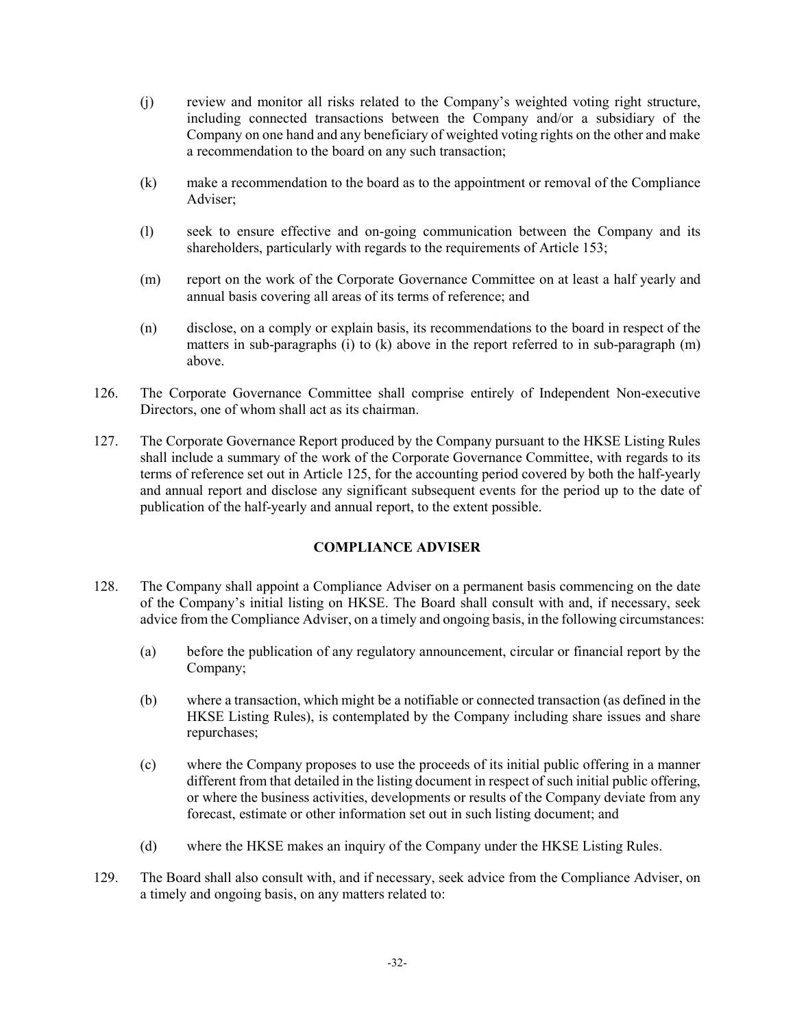- (j) review and monitor all risks related to the Company's weighted voting right structure, including connected transactions between the Company and/or a subsidiary of the Company on one hand and any beneficiary of weighted voting rights on the other and make a recommendation to the board on any such transaction;
- (k) make a recommendation to the board as to the appointment or removal of the Compliance Adviser;
- (l) seek to ensure effective and on-going communication between the Company and its shareholders, particularly with regards to the requirements of Article 153;
- (m) report on the work of the Corporate Governance Committee on at least a half yearly and annual basis covering all areas of its terms of reference; and
- (n) disclose, on a comply or explain basis, its recommendations to the board in respect of the matters in sub-paragraphs (i) to (k) above in the report referred to in sub-paragraph (m) above.
- 126. The Corporate Governance Committee shall comprise entirely of Independent Non-executive Directors, one of whom shall act as its chairman.
- 127. The Corporate Governance Report produced by the Company pursuant to the HKSE Listing Rules shall include a summary of the work of the Corporate Governance Committee, with regards to its terms of reference set out in Article 125, for the accounting period covered by both the half-yearly and annual report and disclose any significant subsequent events for the period up to the date of publication of the half-yearly and annual report, to the extent possible.

# COMPLIANCE ADVISER

- 128. The Company shall appoint a Compliance Adviser on a permanent basis commencing on the date of the Company's initial listing on HKSE. The Board shall consult with and, if necessary, seek advice from the Compliance Adviser, on a timely and ongoing basis, in the following circumstances:
	- (a) before the publication of any regulatory announcement, circular or financial report by the Company;
	- (b) where a transaction, which might be a notifiable or connected transaction (as defined in the HKSE Listing Rules), is contemplated by the Company including share issues and share repurchases;
	- (c) where the Company proposes to use the proceeds of its initial public offering in a manner different from that detailed in the listing document in respect of such initial public offering, or where the business activities, developments or results of the Company deviate from any forecast, estimate or other information set out in such listing document; and
	- (d) where the HKSE makes an inquiry of the Company under the HKSE Listing Rules.
- 129. The Board shall also consult with, and if necessary, seek advice from the Compliance Adviser, on a timely and ongoing basis, on any matters related to: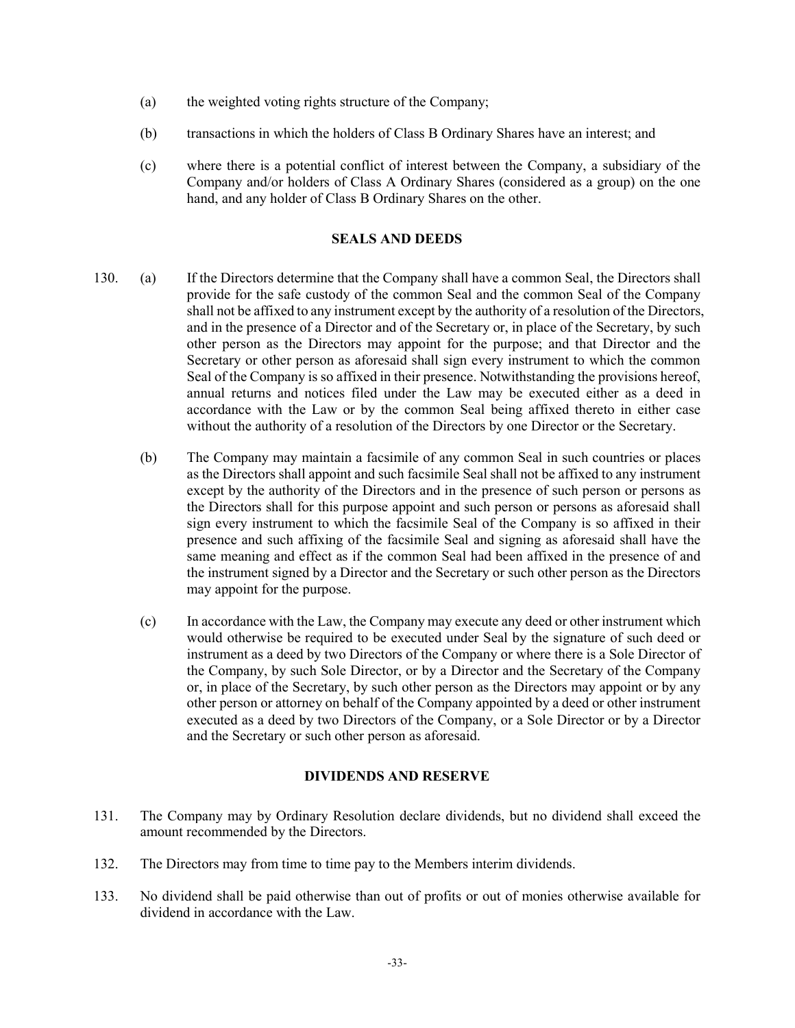- (a) the weighted voting rights structure of the Company;
- (b) transactions in which the holders of Class B Ordinary Shares have an interest; and
- (c) where there is a potential conflict of interest between the Company, a subsidiary of the Company and/or holders of Class A Ordinary Shares (considered as a group) on the one hand, and any holder of Class B Ordinary Shares on the other.

#### SEALS AND DEEDS

- 130. (a) If the Directors determine that the Company shall have a common Seal, the Directors shall provide for the safe custody of the common Seal and the common Seal of the Company shall not be affixed to any instrument except by the authority of a resolution of the Directors, and in the presence of a Director and of the Secretary or, in place of the Secretary, by such other person as the Directors may appoint for the purpose; and that Director and the Secretary or other person as aforesaid shall sign every instrument to which the common Seal of the Company is so affixed in their presence. Notwithstanding the provisions hereof, annual returns and notices filed under the Law may be executed either as a deed in accordance with the Law or by the common Seal being affixed thereto in either case without the authority of a resolution of the Directors by one Director or the Secretary.
	- (b) The Company may maintain a facsimile of any common Seal in such countries or places as the Directors shall appoint and such facsimile Seal shall not be affixed to any instrument except by the authority of the Directors and in the presence of such person or persons as the Directors shall for this purpose appoint and such person or persons as aforesaid shall sign every instrument to which the facsimile Seal of the Company is so affixed in their presence and such affixing of the facsimile Seal and signing as aforesaid shall have the same meaning and effect as if the common Seal had been affixed in the presence of and the instrument signed by a Director and the Secretary or such other person as the Directors may appoint for the purpose.
	- (c) In accordance with the Law, the Company may execute any deed or other instrument which would otherwise be required to be executed under Seal by the signature of such deed or instrument as a deed by two Directors of the Company or where there is a Sole Director of the Company, by such Sole Director, or by a Director and the Secretary of the Company or, in place of the Secretary, by such other person as the Directors may appoint or by any other person or attorney on behalf of the Company appointed by a deed or other instrument executed as a deed by two Directors of the Company, or a Sole Director or by a Director and the Secretary or such other person as aforesaid.

# DIVIDENDS AND RESERVE

- 131. The Company may by Ordinary Resolution declare dividends, but no dividend shall exceed the amount recommended by the Directors.
- 132. The Directors may from time to time pay to the Members interim dividends.
- 133. No dividend shall be paid otherwise than out of profits or out of monies otherwise available for dividend in accordance with the Law.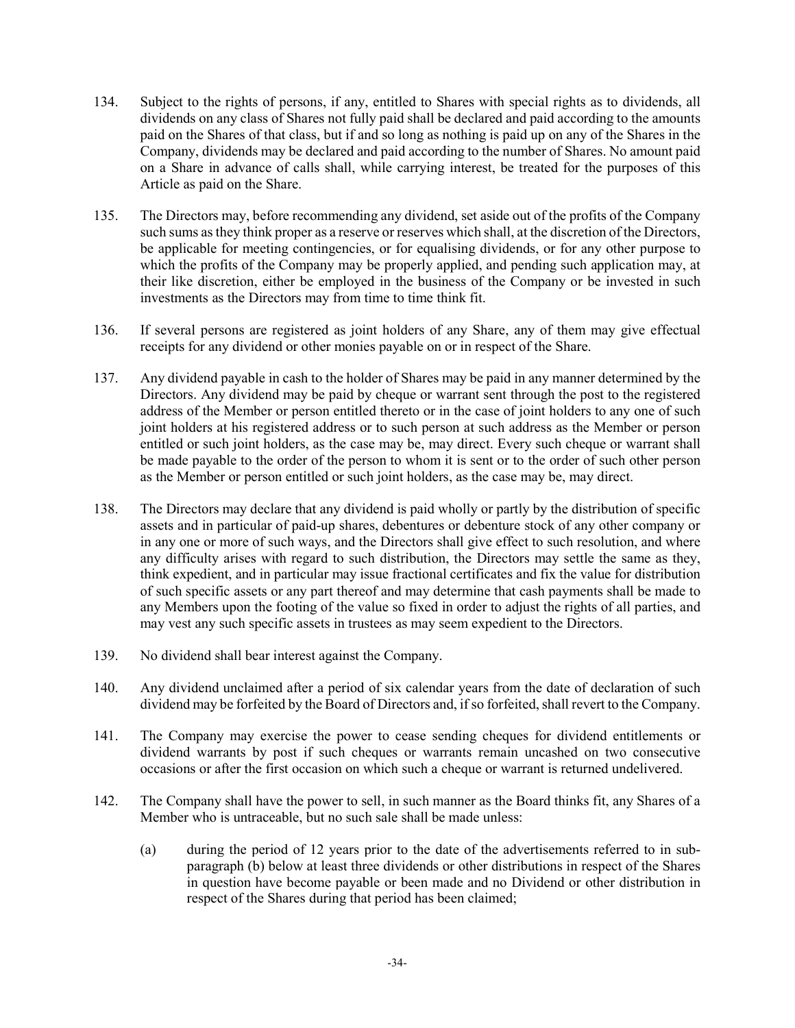- 134. Subject to the rights of persons, if any, entitled to Shares with special rights as to dividends, all dividends on any class of Shares not fully paid shall be declared and paid according to the amounts paid on the Shares of that class, but if and so long as nothing is paid up on any of the Shares in the Company, dividends may be declared and paid according to the number of Shares. No amount paid on a Share in advance of calls shall, while carrying interest, be treated for the purposes of this Article as paid on the Share.
- 135. The Directors may, before recommending any dividend, set aside out of the profits of the Company such sums as they think proper as a reserve or reserves which shall, at the discretion of the Directors, be applicable for meeting contingencies, or for equalising dividends, or for any other purpose to which the profits of the Company may be properly applied, and pending such application may, at their like discretion, either be employed in the business of the Company or be invested in such investments as the Directors may from time to time think fit.
- 136. If several persons are registered as joint holders of any Share, any of them may give effectual receipts for any dividend or other monies payable on or in respect of the Share.
- 137. Any dividend payable in cash to the holder of Shares may be paid in any manner determined by the Directors. Any dividend may be paid by cheque or warrant sent through the post to the registered address of the Member or person entitled thereto or in the case of joint holders to any one of such joint holders at his registered address or to such person at such address as the Member or person entitled or such joint holders, as the case may be, may direct. Every such cheque or warrant shall be made payable to the order of the person to whom it is sent or to the order of such other person as the Member or person entitled or such joint holders, as the case may be, may direct.
- 138. The Directors may declare that any dividend is paid wholly or partly by the distribution of specific assets and in particular of paid-up shares, debentures or debenture stock of any other company or in any one or more of such ways, and the Directors shall give effect to such resolution, and where any difficulty arises with regard to such distribution, the Directors may settle the same as they, think expedient, and in particular may issue fractional certificates and fix the value for distribution of such specific assets or any part thereof and may determine that cash payments shall be made to any Members upon the footing of the value so fixed in order to adjust the rights of all parties, and may vest any such specific assets in trustees as may seem expedient to the Directors.
- 139. No dividend shall bear interest against the Company.
- 140. Any dividend unclaimed after a period of six calendar years from the date of declaration of such dividend may be forfeited by the Board of Directors and, if so forfeited, shall revert to the Company.
- 141. The Company may exercise the power to cease sending cheques for dividend entitlements or dividend warrants by post if such cheques or warrants remain uncashed on two consecutive occasions or after the first occasion on which such a cheque or warrant is returned undelivered.
- 142. The Company shall have the power to sell, in such manner as the Board thinks fit, any Shares of a Member who is untraceable, but no such sale shall be made unless:
	- (a) during the period of 12 years prior to the date of the advertisements referred to in subparagraph (b) below at least three dividends or other distributions in respect of the Shares in question have become payable or been made and no Dividend or other distribution in respect of the Shares during that period has been claimed;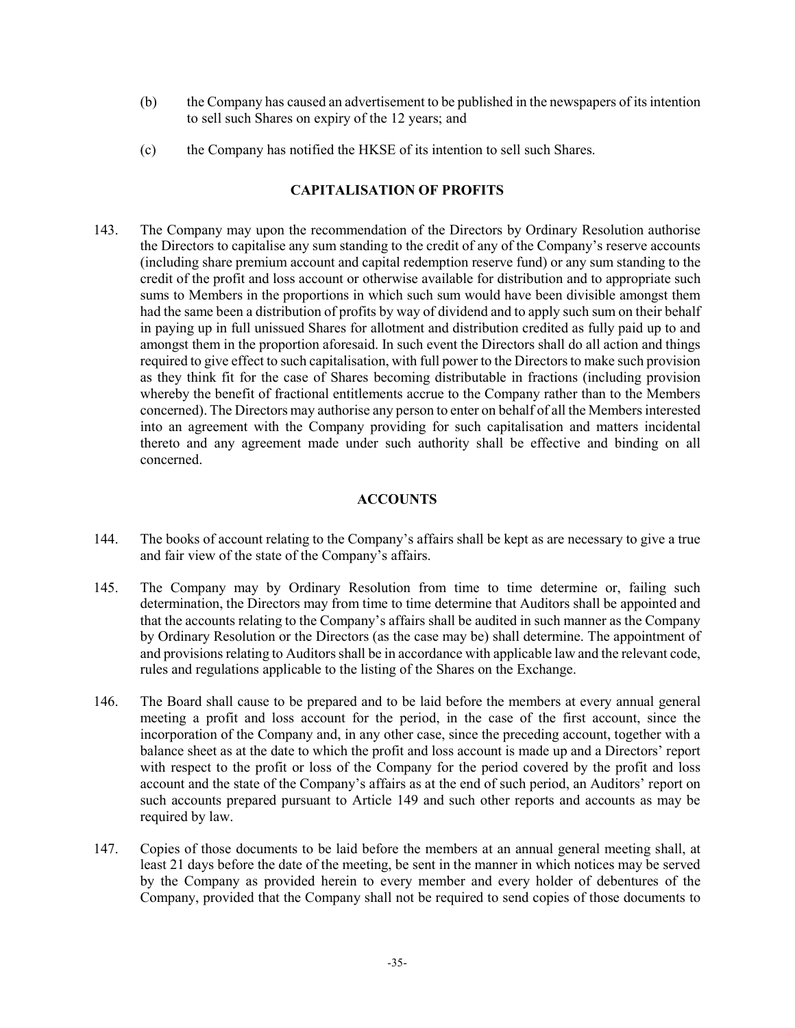- (b) the Company has caused an advertisement to be published in the newspapers of its intention to sell such Shares on expiry of the 12 years; and
- (c) the Company has notified the HKSE of its intention to sell such Shares.

# CAPITALISATION OF PROFITS

143. The Company may upon the recommendation of the Directors by Ordinary Resolution authorise the Directors to capitalise any sum standing to the credit of any of the Company's reserve accounts (including share premium account and capital redemption reserve fund) or any sum standing to the credit of the profit and loss account or otherwise available for distribution and to appropriate such sums to Members in the proportions in which such sum would have been divisible amongst them had the same been a distribution of profits by way of dividend and to apply such sum on their behalf in paying up in full unissued Shares for allotment and distribution credited as fully paid up to and amongst them in the proportion aforesaid. In such event the Directors shall do all action and things required to give effect to such capitalisation, with full power to the Directors to make such provision as they think fit for the case of Shares becoming distributable in fractions (including provision whereby the benefit of fractional entitlements accrue to the Company rather than to the Members concerned). The Directors may authorise any person to enter on behalf of all the Members interested into an agreement with the Company providing for such capitalisation and matters incidental thereto and any agreement made under such authority shall be effective and binding on all concerned.

# ACCOUNTS

- 144. The books of account relating to the Company's affairs shall be kept as are necessary to give a true and fair view of the state of the Company's affairs.
- 145. The Company may by Ordinary Resolution from time to time determine or, failing such determination, the Directors may from time to time determine that Auditors shall be appointed and that the accounts relating to the Company's affairs shall be audited in such manner as the Company by Ordinary Resolution or the Directors (as the case may be) shall determine. The appointment of and provisions relating to Auditors shall be in accordance with applicable law and the relevant code, rules and regulations applicable to the listing of the Shares on the Exchange.
- 146. The Board shall cause to be prepared and to be laid before the members at every annual general meeting a profit and loss account for the period, in the case of the first account, since the incorporation of the Company and, in any other case, since the preceding account, together with a balance sheet as at the date to which the profit and loss account is made up and a Directors' report with respect to the profit or loss of the Company for the period covered by the profit and loss account and the state of the Company's affairs as at the end of such period, an Auditors' report on such accounts prepared pursuant to Article 149 and such other reports and accounts as may be required by law.
- 147. Copies of those documents to be laid before the members at an annual general meeting shall, at least 21 days before the date of the meeting, be sent in the manner in which notices may be served by the Company as provided herein to every member and every holder of debentures of the Company, provided that the Company shall not be required to send copies of those documents to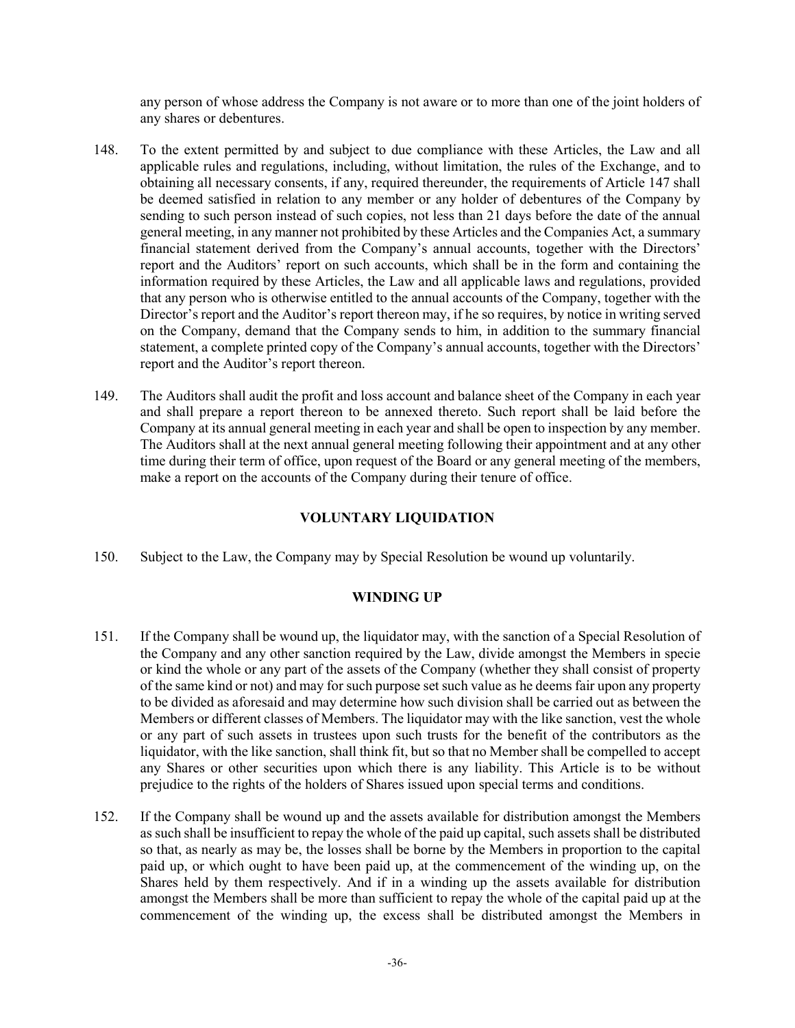any person of whose address the Company is not aware or to more than one of the joint holders of any shares or debentures.

- 148. To the extent permitted by and subject to due compliance with these Articles, the Law and all applicable rules and regulations, including, without limitation, the rules of the Exchange, and to obtaining all necessary consents, if any, required thereunder, the requirements of Article 147 shall be deemed satisfied in relation to any member or any holder of debentures of the Company by sending to such person instead of such copies, not less than 21 days before the date of the annual general meeting, in any manner not prohibited by these Articles and the Companies Act, a summary financial statement derived from the Company's annual accounts, together with the Directors' report and the Auditors' report on such accounts, which shall be in the form and containing the information required by these Articles, the Law and all applicable laws and regulations, provided that any person who is otherwise entitled to the annual accounts of the Company, together with the Director's report and the Auditor's report thereon may, if he so requires, by notice in writing served on the Company, demand that the Company sends to him, in addition to the summary financial statement, a complete printed copy of the Company's annual accounts, together with the Directors' report and the Auditor's report thereon.
- 149. The Auditors shall audit the profit and loss account and balance sheet of the Company in each year and shall prepare a report thereon to be annexed thereto. Such report shall be laid before the Company at its annual general meeting in each year and shall be open to inspection by any member. The Auditors shall at the next annual general meeting following their appointment and at any other time during their term of office, upon request of the Board or any general meeting of the members, make a report on the accounts of the Company during their tenure of office.

# VOLUNTARY LIQUIDATION

150. Subject to the Law, the Company may by Special Resolution be wound up voluntarily.

# WINDING UP

- 151. If the Company shall be wound up, the liquidator may, with the sanction of a Special Resolution of the Company and any other sanction required by the Law, divide amongst the Members in specie or kind the whole or any part of the assets of the Company (whether they shall consist of property of the same kind or not) and may for such purpose set such value as he deems fair upon any property to be divided as aforesaid and may determine how such division shall be carried out as between the Members or different classes of Members. The liquidator may with the like sanction, vest the whole or any part of such assets in trustees upon such trusts for the benefit of the contributors as the liquidator, with the like sanction, shall think fit, but so that no Member shall be compelled to accept any Shares or other securities upon which there is any liability. This Article is to be without prejudice to the rights of the holders of Shares issued upon special terms and conditions.
- 152. If the Company shall be wound up and the assets available for distribution amongst the Members as such shall be insufficient to repay the whole of the paid up capital, such assets shall be distributed so that, as nearly as may be, the losses shall be borne by the Members in proportion to the capital paid up, or which ought to have been paid up, at the commencement of the winding up, on the Shares held by them respectively. And if in a winding up the assets available for distribution amongst the Members shall be more than sufficient to repay the whole of the capital paid up at the commencement of the winding up, the excess shall be distributed amongst the Members in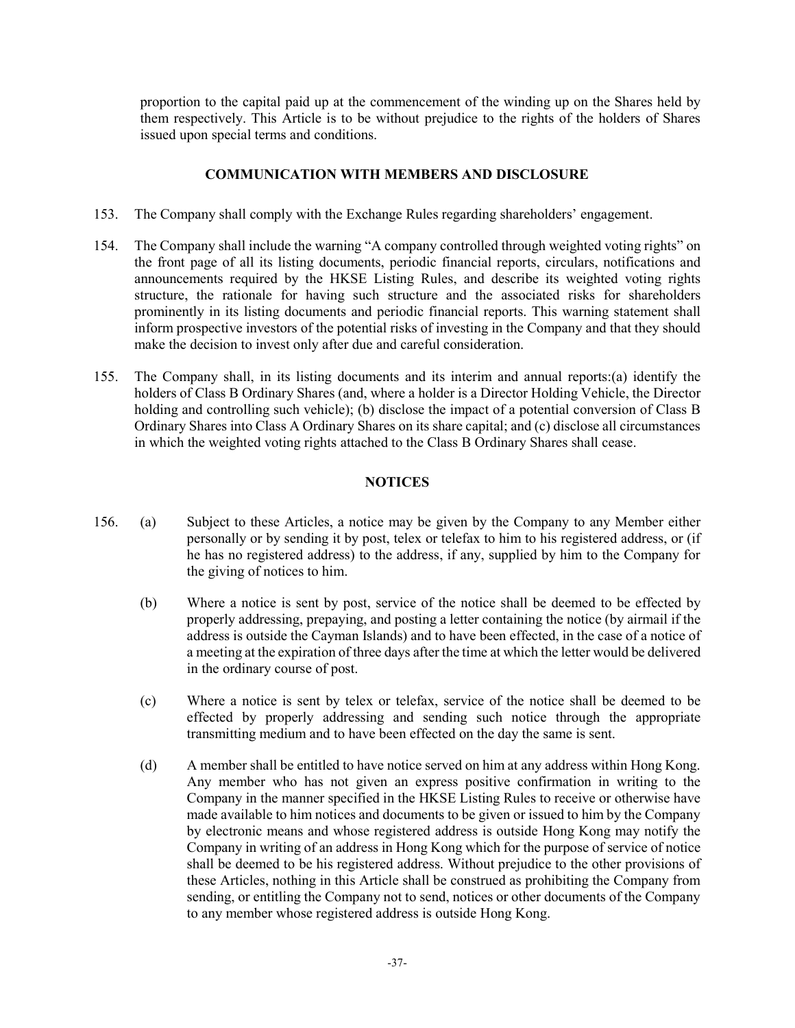proportion to the capital paid up at the commencement of the winding up on the Shares held by them respectively. This Article is to be without prejudice to the rights of the holders of Shares issued upon special terms and conditions.

# COMMUNICATION WITH MEMBERS AND DISCLOSURE

- 153. The Company shall comply with the Exchange Rules regarding shareholders' engagement.
- 154. The Company shall include the warning "A company controlled through weighted voting rights" on the front page of all its listing documents, periodic financial reports, circulars, notifications and announcements required by the HKSE Listing Rules, and describe its weighted voting rights structure, the rationale for having such structure and the associated risks for shareholders prominently in its listing documents and periodic financial reports. This warning statement shall inform prospective investors of the potential risks of investing in the Company and that they should make the decision to invest only after due and careful consideration.
- 155. The Company shall, in its listing documents and its interim and annual reports:(a) identify the holders of Class B Ordinary Shares (and, where a holder is a Director Holding Vehicle, the Director holding and controlling such vehicle); (b) disclose the impact of a potential conversion of Class B Ordinary Shares into Class A Ordinary Shares on its share capital; and (c) disclose all circumstances in which the weighted voting rights attached to the Class B Ordinary Shares shall cease.

# **NOTICES**

- 156. (a) Subject to these Articles, a notice may be given by the Company to any Member either personally or by sending it by post, telex or telefax to him to his registered address, or (if he has no registered address) to the address, if any, supplied by him to the Company for the giving of notices to him.
	- (b) Where a notice is sent by post, service of the notice shall be deemed to be effected by properly addressing, prepaying, and posting a letter containing the notice (by airmail if the address is outside the Cayman Islands) and to have been effected, in the case of a notice of a meeting at the expiration of three days after the time at which the letter would be delivered in the ordinary course of post.
	- (c) Where a notice is sent by telex or telefax, service of the notice shall be deemed to be effected by properly addressing and sending such notice through the appropriate transmitting medium and to have been effected on the day the same is sent.
	- (d) A member shall be entitled to have notice served on him at any address within Hong Kong. Any member who has not given an express positive confirmation in writing to the Company in the manner specified in the HKSE Listing Rules to receive or otherwise have made available to him notices and documents to be given or issued to him by the Company by electronic means and whose registered address is outside Hong Kong may notify the Company in writing of an address in Hong Kong which for the purpose of service of notice shall be deemed to be his registered address. Without prejudice to the other provisions of these Articles, nothing in this Article shall be construed as prohibiting the Company from sending, or entitling the Company not to send, notices or other documents of the Company to any member whose registered address is outside Hong Kong.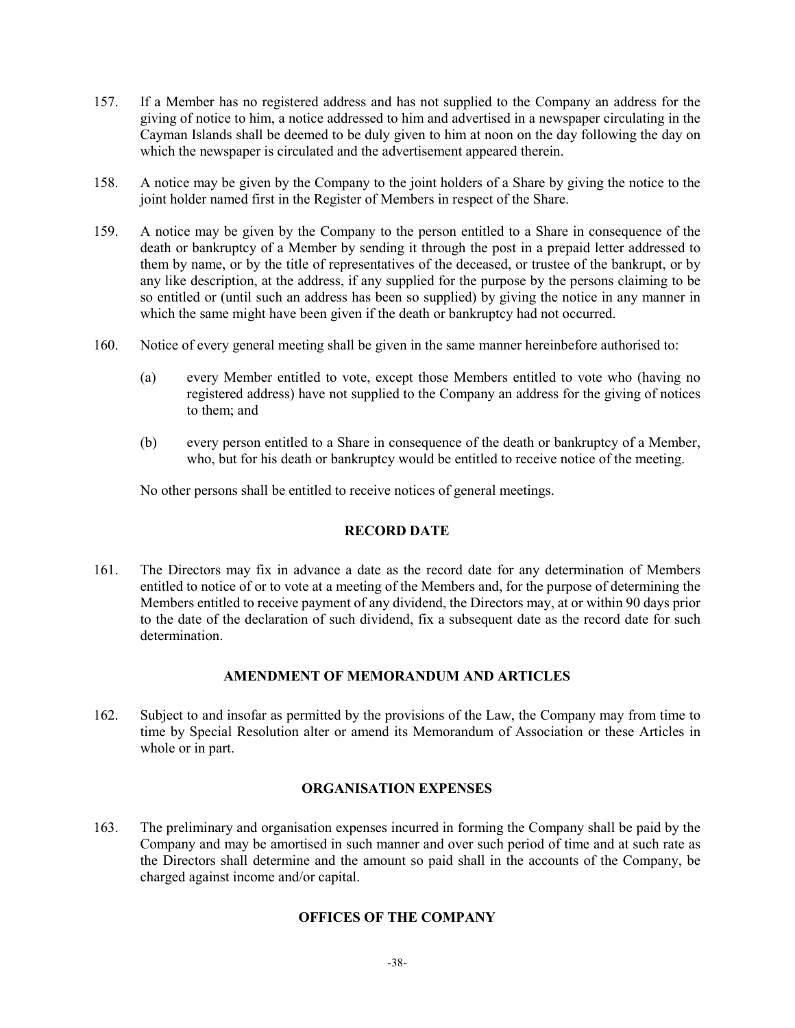- 157. If a Member has no registered address and has not supplied to the Company an address for the giving of notice to him, a notice addressed to him and advertised in a newspaper circulating in the Cayman Islands shall be deemed to be duly given to him at noon on the day following the day on which the newspaper is circulated and the advertisement appeared therein.
- 158. A notice may be given by the Company to the joint holders of a Share by giving the notice to the joint holder named first in the Register of Members in respect of the Share.
- 159. A notice may be given by the Company to the person entitled to a Share in consequence of the death or bankruptcy of a Member by sending it through the post in a prepaid letter addressed to them by name, or by the title of representatives of the deceased, or trustee of the bankrupt, or by any like description, at the address, if any supplied for the purpose by the persons claiming to be so entitled or (until such an address has been so supplied) by giving the notice in any manner in which the same might have been given if the death or bankruptcy had not occurred.
- 160. Notice of every general meeting shall be given in the same manner hereinbefore authorised to:
	- (a) every Member entitled to vote, except those Members entitled to vote who (having no registered address) have not supplied to the Company an address for the giving of notices to them; and
	- (b) every person entitled to a Share in consequence of the death or bankruptcy of a Member, who, but for his death or bankruptcy would be entitled to receive notice of the meeting.

No other persons shall be entitled to receive notices of general meetings.

# RECORD DATE

161. The Directors may fix in advance a date as the record date for any determination of Members entitled to notice of or to vote at a meeting of the Members and, for the purpose of determining the Members entitled to receive payment of any dividend, the Directors may, at or within 90 days prior to the date of the declaration of such dividend, fix a subsequent date as the record date for such determination.

# AMENDMENT OF MEMORANDUM AND ARTICLES

162. Subject to and insofar as permitted by the provisions of the Law, the Company may from time to time by Special Resolution alter or amend its Memorandum of Association or these Articles in whole or in part.

# ORGANISATION EXPENSES

163. The preliminary and organisation expenses incurred in forming the Company shall be paid by the Company and may be amortised in such manner and over such period of time and at such rate as the Directors shall determine and the amount so paid shall in the accounts of the Company, be charged against income and/or capital.

# OFFICES OF THE COMPANY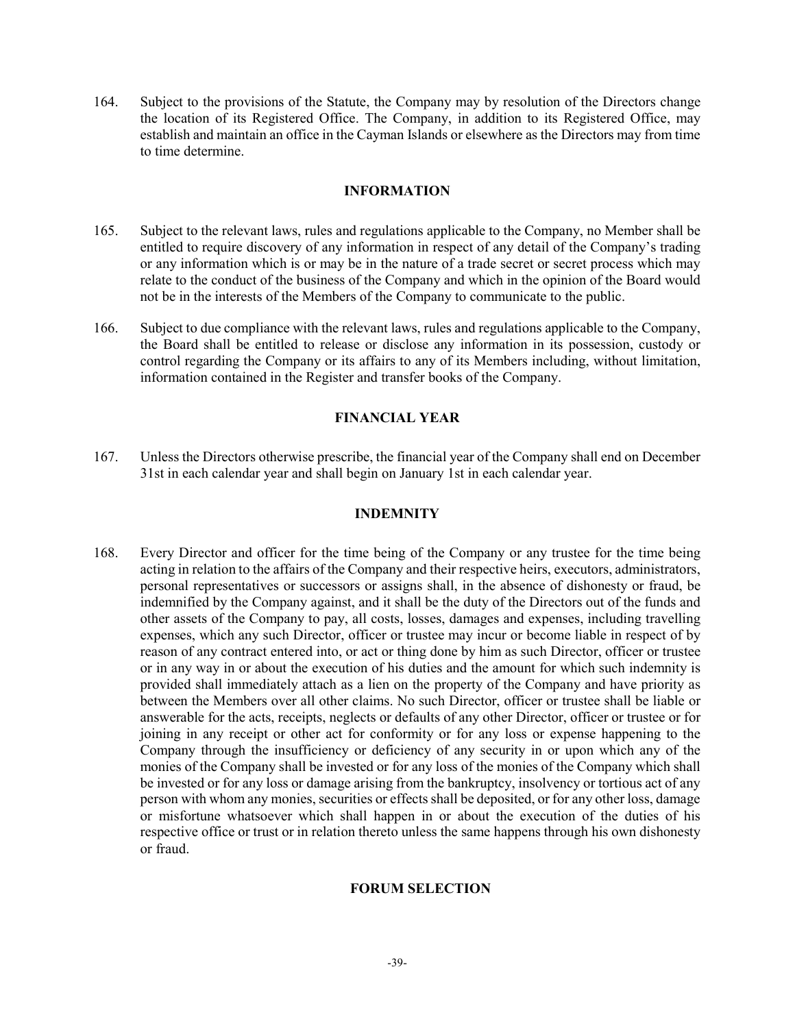164. Subject to the provisions of the Statute, the Company may by resolution of the Directors change the location of its Registered Office. The Company, in addition to its Registered Office, may establish and maintain an office in the Cayman Islands or elsewhere as the Directors may from time to time determine.

#### INFORMATION

- 165. Subject to the relevant laws, rules and regulations applicable to the Company, no Member shall be entitled to require discovery of any information in respect of any detail of the Company's trading or any information which is or may be in the nature of a trade secret or secret process which may relate to the conduct of the business of the Company and which in the opinion of the Board would not be in the interests of the Members of the Company to communicate to the public.
- 166. Subject to due compliance with the relevant laws, rules and regulations applicable to the Company, the Board shall be entitled to release or disclose any information in its possession, custody or control regarding the Company or its affairs to any of its Members including, without limitation, information contained in the Register and transfer books of the Company.

# FINANCIAL YEAR

167. Unless the Directors otherwise prescribe, the financial year of the Company shall end on December 31st in each calendar year and shall begin on January 1st in each calendar year.

# INDEMNITY

168. Every Director and officer for the time being of the Company or any trustee for the time being acting in relation to the affairs of the Company and their respective heirs, executors, administrators, personal representatives or successors or assigns shall, in the absence of dishonesty or fraud, be indemnified by the Company against, and it shall be the duty of the Directors out of the funds and other assets of the Company to pay, all costs, losses, damages and expenses, including travelling expenses, which any such Director, officer or trustee may incur or become liable in respect of by reason of any contract entered into, or act or thing done by him as such Director, officer or trustee or in any way in or about the execution of his duties and the amount for which such indemnity is provided shall immediately attach as a lien on the property of the Company and have priority as between the Members over all other claims. No such Director, officer or trustee shall be liable or answerable for the acts, receipts, neglects or defaults of any other Director, officer or trustee or for joining in any receipt or other act for conformity or for any loss or expense happening to the Company through the insufficiency or deficiency of any security in or upon which any of the monies of the Company shall be invested or for any loss of the monies of the Company which shall be invested or for any loss or damage arising from the bankruptcy, insolvency or tortious act of any person with whom any monies, securities or effects shall be deposited, or for any other loss, damage or misfortune whatsoever which shall happen in or about the execution of the duties of his respective office or trust or in relation thereto unless the same happens through his own dishonesty or fraud.

# FORUM SELECTION